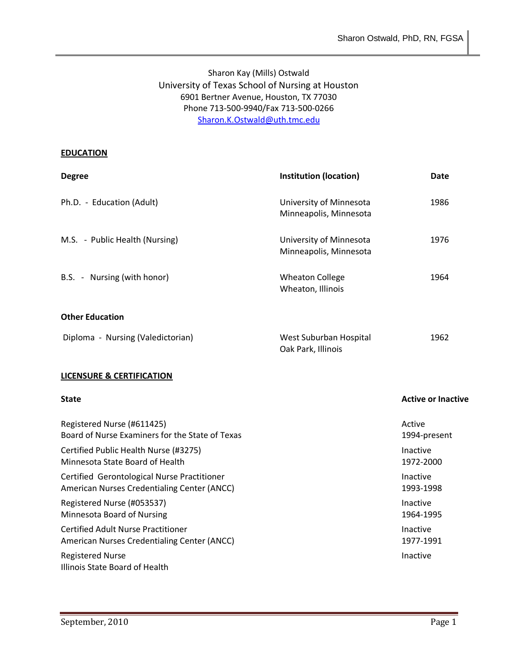# Sharon Kay (Mills) Ostwald University of Texas School of Nursing at Houston 6901 Bertner Avenue, Houston, TX 77030 Phone 713-500-9940/Fax 713-500-0266 [Sharon.K.Ostwald@uth.tmc.edu](mailto:Sharon.K.Ostwald@uth.tmc.edu)

#### **EDUCATION**

| <b>Degree</b>                     | <b>Institution (location)</b>                     | Date |
|-----------------------------------|---------------------------------------------------|------|
| Ph.D. - Education (Adult)         | University of Minnesota<br>Minneapolis, Minnesota | 1986 |
| M.S. - Public Health (Nursing)    | University of Minnesota<br>Minneapolis, Minnesota | 1976 |
| B.S. - Nursing (with honor)       | <b>Wheaton College</b><br>Wheaton, Illinois       | 1964 |
| <b>Other Education</b>            |                                                   |      |
| Diploma - Nursing (Valedictorian) | West Suburban Hospital<br>Oak Park, Illinois      | 1962 |

#### **LICENSURE & CERTIFICATION**

#### **State Active or Inactive Active or Inactive Active or Inactive Active** or Inactive

| Registered Nurse (#611425)                                | Active       |
|-----------------------------------------------------------|--------------|
| Board of Nurse Examiners for the State of Texas           | 1994-present |
| Certified Public Health Nurse (#3275)                     | Inactive     |
| Minnesota State Board of Health                           | 1972-2000    |
| Certified Gerontological Nurse Practitioner               | Inactive     |
| American Nurses Credentialing Center (ANCC)               | 1993-1998    |
| Registered Nurse (#053537)                                | Inactive     |
| Minnesota Board of Nursing                                | 1964-1995    |
| <b>Certified Adult Nurse Practitioner</b>                 | Inactive     |
| American Nurses Credentialing Center (ANCC)               | 1977-1991    |
| <b>Registered Nurse</b><br>Illinois State Board of Health | Inactive     |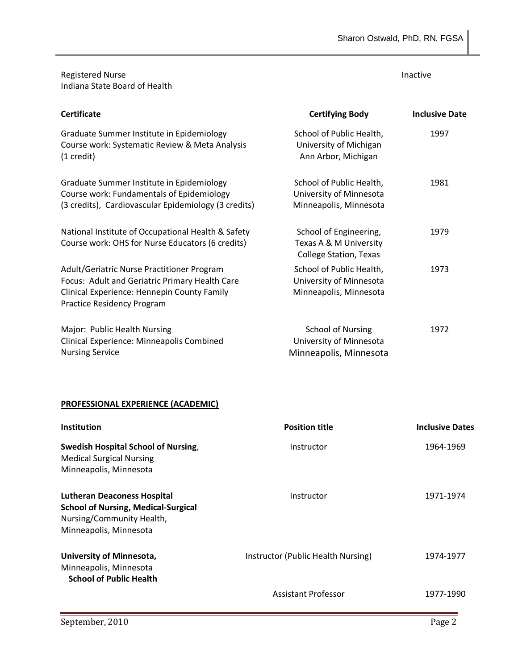Registered Nurse Indiana State Board of Health

#### Inactive

| <b>Certificate</b>                                                                                                                                                        | <b>Certifying Body</b>                                                            | <b>Inclusive Date</b> |
|---------------------------------------------------------------------------------------------------------------------------------------------------------------------------|-----------------------------------------------------------------------------------|-----------------------|
| Graduate Summer Institute in Epidemiology<br>Course work: Systematic Review & Meta Analysis<br>$(1 \text{ credit})$                                                       | School of Public Health,<br>University of Michigan<br>Ann Arbor, Michigan         | 1997                  |
| Graduate Summer Institute in Epidemiology<br>Course work: Fundamentals of Epidemiology<br>(3 credits), Cardiovascular Epidemiology (3 credits)                            | School of Public Health,<br>University of Minnesota<br>Minneapolis, Minnesota     | 1981                  |
| National Institute of Occupational Health & Safety<br>Course work: OHS for Nurse Educators (6 credits)                                                                    | School of Engineering,<br>Texas A & M University<br><b>College Station, Texas</b> | 1979                  |
| Adult/Geriatric Nurse Practitioner Program<br>Focus: Adult and Geriatric Primary Health Care<br>Clinical Experience: Hennepin County Family<br>Practice Residency Program | School of Public Health,<br>University of Minnesota<br>Minneapolis, Minnesota     | 1973                  |
| Major: Public Health Nursing<br>Clinical Experience: Minneapolis Combined<br><b>Nursing Service</b>                                                                       | <b>School of Nursing</b><br>University of Minnesota<br>Minneapolis, Minnesota     | 1972                  |

#### **PROFESSIONAL EXPERIENCE (ACADEMIC)**

| <b>Institution</b>                                                                                                                      | <b>Position title</b>              | <b>Inclusive Dates</b> |
|-----------------------------------------------------------------------------------------------------------------------------------------|------------------------------------|------------------------|
| <b>Swedish Hospital School of Nursing,</b><br><b>Medical Surgical Nursing</b><br>Minneapolis, Minnesota                                 | Instructor                         | 1964-1969              |
| <b>Lutheran Deaconess Hospital</b><br><b>School of Nursing, Medical-Surgical</b><br>Nursing/Community Health,<br>Minneapolis, Minnesota | Instructor                         | 1971-1974              |
| University of Minnesota,<br>Minneapolis, Minnesota<br><b>School of Public Health</b>                                                    | Instructor (Public Health Nursing) | 1974-1977              |
|                                                                                                                                         | <b>Assistant Professor</b>         | 1977-1990              |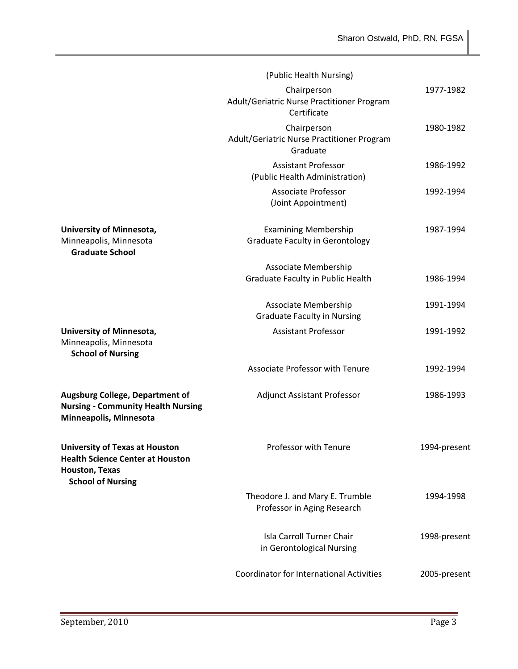|                                                                                                                                       | (Public Health Nursing)                                                  |              |
|---------------------------------------------------------------------------------------------------------------------------------------|--------------------------------------------------------------------------|--------------|
|                                                                                                                                       | Chairperson<br>Adult/Geriatric Nurse Practitioner Program<br>Certificate | 1977-1982    |
|                                                                                                                                       | Chairperson<br>Adult/Geriatric Nurse Practitioner Program<br>Graduate    | 1980-1982    |
|                                                                                                                                       | <b>Assistant Professor</b><br>(Public Health Administration)             | 1986-1992    |
|                                                                                                                                       | <b>Associate Professor</b><br>(Joint Appointment)                        | 1992-1994    |
| <b>University of Minnesota,</b><br>Minneapolis, Minnesota<br><b>Graduate School</b>                                                   | <b>Examining Membership</b><br><b>Graduate Faculty in Gerontology</b>    | 1987-1994    |
|                                                                                                                                       | Associate Membership                                                     |              |
|                                                                                                                                       | Graduate Faculty in Public Health                                        | 1986-1994    |
|                                                                                                                                       | Associate Membership<br><b>Graduate Faculty in Nursing</b>               | 1991-1994    |
| <b>University of Minnesota,</b><br>Minneapolis, Minnesota<br><b>School of Nursing</b>                                                 | <b>Assistant Professor</b>                                               | 1991-1992    |
|                                                                                                                                       | <b>Associate Professor with Tenure</b>                                   | 1992-1994    |
| <b>Augsburg College, Department of</b><br><b>Nursing - Community Health Nursing</b><br>Minneapolis, Minnesota                         | <b>Adjunct Assistant Professor</b>                                       | 1986-1993    |
| <b>University of Texas at Houston</b><br><b>Health Science Center at Houston</b><br><b>Houston, Texas</b><br><b>School of Nursing</b> | Professor with Tenure                                                    | 1994-present |
|                                                                                                                                       | Theodore J. and Mary E. Trumble<br>Professor in Aging Research           | 1994-1998    |
|                                                                                                                                       | <b>Isla Carroll Turner Chair</b><br>in Gerontological Nursing            | 1998-present |
|                                                                                                                                       | <b>Coordinator for International Activities</b>                          | 2005-present |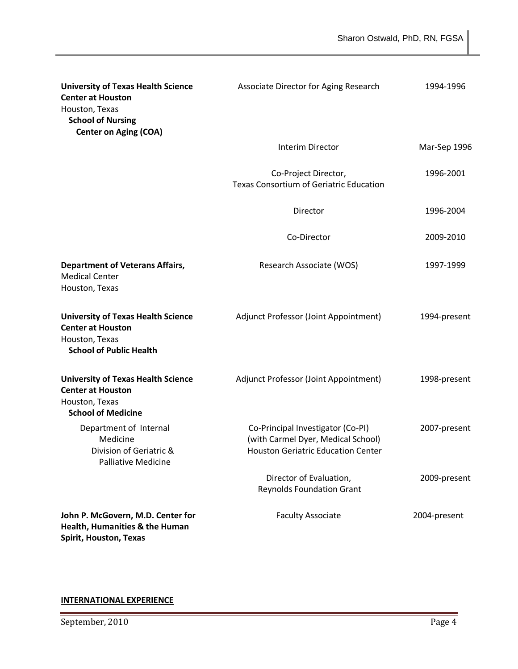| <b>University of Texas Health Science</b><br><b>Center at Houston</b><br>Houston, Texas<br><b>School of Nursing</b><br><b>Center on Aging (COA)</b> | Associate Director for Aging Research                                                                                | 1994-1996    |
|-----------------------------------------------------------------------------------------------------------------------------------------------------|----------------------------------------------------------------------------------------------------------------------|--------------|
|                                                                                                                                                     | Interim Director                                                                                                     | Mar-Sep 1996 |
|                                                                                                                                                     | Co-Project Director,<br><b>Texas Consortium of Geriatric Education</b>                                               | 1996-2001    |
|                                                                                                                                                     | Director                                                                                                             | 1996-2004    |
|                                                                                                                                                     | Co-Director                                                                                                          | 2009-2010    |
| <b>Department of Veterans Affairs,</b><br><b>Medical Center</b><br>Houston, Texas                                                                   | Research Associate (WOS)                                                                                             | 1997-1999    |
| <b>University of Texas Health Science</b><br><b>Center at Houston</b><br>Houston, Texas<br><b>School of Public Health</b>                           | Adjunct Professor (Joint Appointment)                                                                                | 1994-present |
| <b>University of Texas Health Science</b><br><b>Center at Houston</b><br>Houston, Texas<br><b>School of Medicine</b>                                | Adjunct Professor (Joint Appointment)                                                                                | 1998-present |
| Department of Internal<br>Medicine<br>Division of Geriatric &<br><b>Palliative Medicine</b>                                                         | Co-Principal Investigator (Co-PI)<br>(with Carmel Dyer, Medical School)<br><b>Houston Geriatric Education Center</b> | 2007-present |
|                                                                                                                                                     | Director of Evaluation,<br><b>Reynolds Foundation Grant</b>                                                          | 2009-present |
| John P. McGovern, M.D. Center for<br>Health, Humanities & the Human                                                                                 | <b>Faculty Associate</b>                                                                                             | 2004-present |

**Spirit, Houston, Texas**

# **INTERNATIONAL EXPERIENCE**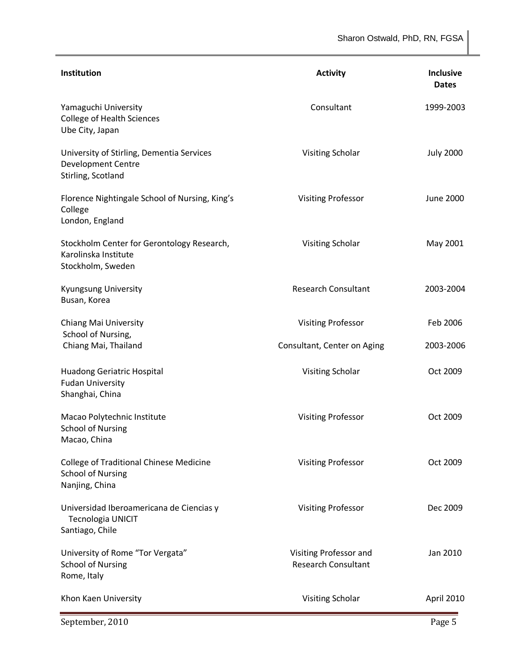Sharon Ostwald, PhD, RN, FGSA

| Institution                                                                                  | <b>Activity</b>                                      | <b>Inclusive</b><br><b>Dates</b> |
|----------------------------------------------------------------------------------------------|------------------------------------------------------|----------------------------------|
| Yamaguchi University<br><b>College of Health Sciences</b><br>Ube City, Japan                 | Consultant                                           | 1999-2003                        |
| University of Stirling, Dementia Services<br><b>Development Centre</b><br>Stirling, Scotland | Visiting Scholar                                     | <b>July 2000</b>                 |
| Florence Nightingale School of Nursing, King's<br>College<br>London, England                 | <b>Visiting Professor</b>                            | <b>June 2000</b>                 |
| Stockholm Center for Gerontology Research,<br>Karolinska Institute<br>Stockholm, Sweden      | Visiting Scholar                                     | May 2001                         |
| Kyungsung University<br>Busan, Korea                                                         | <b>Research Consultant</b>                           | 2003-2004                        |
| Chiang Mai University                                                                        | <b>Visiting Professor</b>                            | Feb 2006                         |
| School of Nursing,<br>Chiang Mai, Thailand                                                   | Consultant, Center on Aging                          | 2003-2006                        |
| <b>Huadong Geriatric Hospital</b><br><b>Fudan University</b><br>Shanghai, China              | Visiting Scholar                                     | Oct 2009                         |
| Macao Polytechnic Institute<br><b>School of Nursing</b><br>Macao, China                      | <b>Visiting Professor</b>                            | Oct 2009                         |
| <b>College of Traditional Chinese Medicine</b><br><b>School of Nursing</b><br>Nanjing, China | <b>Visiting Professor</b>                            | Oct 2009                         |
| Universidad Iberoamericana de Ciencias y<br><b>Tecnologia UNICIT</b><br>Santiago, Chile      | <b>Visiting Professor</b>                            | Dec 2009                         |
| University of Rome "Tor Vergata"<br><b>School of Nursing</b><br>Rome, Italy                  | Visiting Professor and<br><b>Research Consultant</b> | Jan 2010                         |
| Khon Kaen University                                                                         | Visiting Scholar                                     | April 2010                       |
| September, 2010                                                                              |                                                      | Page 5                           |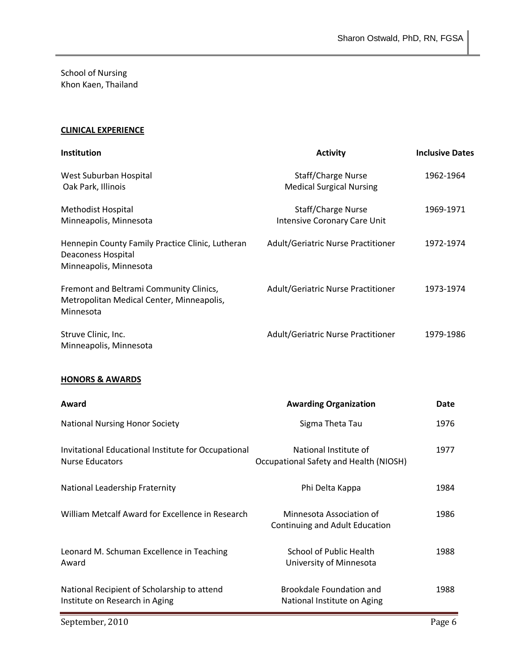School of Nursing Khon Kaen, Thailand

## **CLINICAL EXPERIENCE**

| Institution                                                                                             | <b>Activity</b>                                                 | <b>Inclusive Dates</b> |
|---------------------------------------------------------------------------------------------------------|-----------------------------------------------------------------|------------------------|
| West Suburban Hospital<br>Oak Park, Illinois                                                            | Staff/Charge Nurse<br><b>Medical Surgical Nursing</b>           | 1962-1964              |
| Methodist Hospital<br>Minneapolis, Minnesota                                                            | Staff/Charge Nurse<br><b>Intensive Coronary Care Unit</b>       | 1969-1971              |
| Hennepin County Family Practice Clinic, Lutheran<br><b>Deaconess Hospital</b><br>Minneapolis, Minnesota | Adult/Geriatric Nurse Practitioner                              | 1972-1974              |
| Fremont and Beltrami Community Clinics,<br>Metropolitan Medical Center, Minneapolis,<br>Minnesota       | Adult/Geriatric Nurse Practitioner                              | 1973-1974              |
| Struve Clinic, Inc.<br>Minneapolis, Minnesota                                                           | Adult/Geriatric Nurse Practitioner                              | 1979-1986              |
| <b>HONORS &amp; AWARDS</b>                                                                              |                                                                 |                        |
| Award                                                                                                   | <b>Awarding Organization</b>                                    | Date                   |
| <b>National Nursing Honor Society</b>                                                                   | Sigma Theta Tau                                                 | 1976                   |
| Invitational Educational Institute for Occupational<br><b>Nurse Educators</b>                           | National Institute of<br>Occupational Safety and Health (NIOSH) | 1977                   |
| National Leadership Fraternity                                                                          | Phi Delta Kappa                                                 | 1984                   |
| William Metcalf Award for Excellence in Research                                                        | Minnesota Association of<br>Continuing and Adult Education      | 1986                   |
| Leonard M. Schuman Excellence in Teaching<br>Award                                                      | <b>School of Public Health</b><br>University of Minnesota       | 1988                   |
| National Recipient of Scholarship to attend<br>Institute on Research in Aging                           | <b>Brookdale Foundation and</b><br>National Institute on Aging  | 1988                   |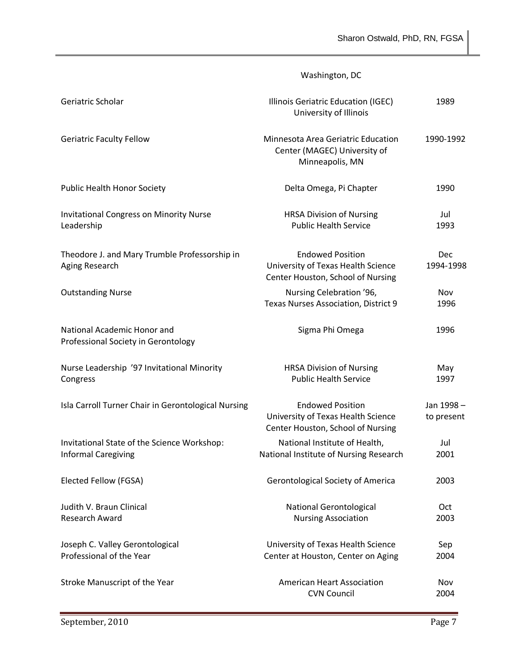# Washington, DC

| Geriatric Scholar                                                         | Illinois Geriatric Education (IGEC)<br>University of Illinois                                      | 1989                    |
|---------------------------------------------------------------------------|----------------------------------------------------------------------------------------------------|-------------------------|
| <b>Geriatric Faculty Fellow</b>                                           | Minnesota Area Geriatric Education<br>Center (MAGEC) University of<br>Minneapolis, MN              | 1990-1992               |
| Public Health Honor Society                                               | Delta Omega, Pi Chapter                                                                            | 1990                    |
| <b>Invitational Congress on Minority Nurse</b><br>Leadership              | <b>HRSA Division of Nursing</b><br><b>Public Health Service</b>                                    | Jul<br>1993             |
| Theodore J. and Mary Trumble Professorship in<br>Aging Research           | <b>Endowed Position</b><br>University of Texas Health Science<br>Center Houston, School of Nursing | Dec<br>1994-1998        |
| <b>Outstanding Nurse</b>                                                  | Nursing Celebration '96,<br>Texas Nurses Association, District 9                                   | Nov<br>1996             |
| National Academic Honor and<br>Professional Society in Gerontology        | Sigma Phi Omega                                                                                    | 1996                    |
| Nurse Leadership '97 Invitational Minority<br>Congress                    | <b>HRSA Division of Nursing</b><br><b>Public Health Service</b>                                    | May<br>1997             |
| Isla Carroll Turner Chair in Gerontological Nursing                       | <b>Endowed Position</b><br>University of Texas Health Science<br>Center Houston, School of Nursing | Jan 1998-<br>to present |
| Invitational State of the Science Workshop:<br><b>Informal Caregiving</b> | National Institute of Health,<br>National Institute of Nursing Research                            | Jul<br>2001             |
| Elected Fellow (FGSA)                                                     | <b>Gerontological Society of America</b>                                                           | 2003                    |
| Judith V. Braun Clinical<br>Research Award                                | <b>National Gerontological</b><br><b>Nursing Association</b>                                       | Oct<br>2003             |
| Joseph C. Valley Gerontological<br>Professional of the Year               | University of Texas Health Science<br>Center at Houston, Center on Aging                           | Sep<br>2004             |
| Stroke Manuscript of the Year                                             | <b>American Heart Association</b><br><b>CVN Council</b>                                            | Nov<br>2004             |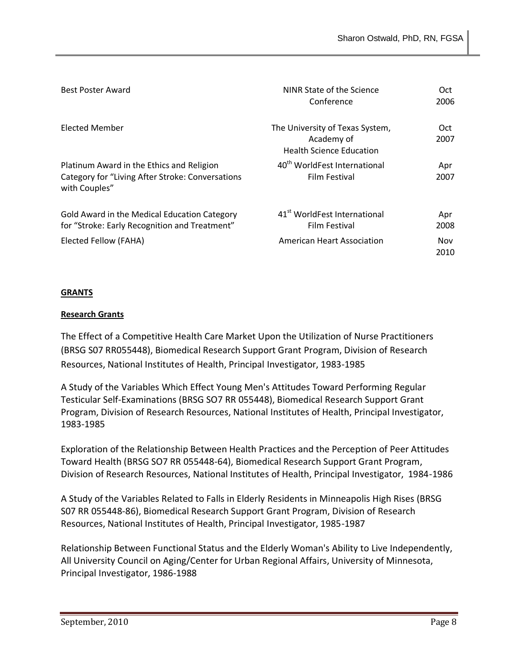| <b>Best Poster Award</b>                                                                                       | NINR State of the Science<br>Conference                                          | Oct.<br>2006 |
|----------------------------------------------------------------------------------------------------------------|----------------------------------------------------------------------------------|--------------|
| Elected Member                                                                                                 | The University of Texas System,<br>Academy of<br><b>Health Science Education</b> | Oct.<br>2007 |
| Platinum Award in the Ethics and Religion<br>Category for "Living After Stroke: Conversations<br>with Couples" | 40 <sup>th</sup> WorldFest International<br>Film Festival                        | Apr<br>2007  |
| Gold Award in the Medical Education Category<br>for "Stroke: Early Recognition and Treatment"                  | 41 <sup>st</sup> WorldFest International<br>Film Festival                        | Apr<br>2008  |
| Elected Fellow (FAHA)                                                                                          | <b>American Heart Association</b>                                                | Nov<br>2010  |

#### **GRANTS**

#### **Research Grants**

The Effect of a Competitive Health Care Market Upon the Utilization of Nurse Practitioners (BRSG S07 RR055448), Biomedical Research Support Grant Program, Division of Research Resources, National Institutes of Health, Principal Investigator, 1983-1985

A Study of the Variables Which Effect Young Men's Attitudes Toward Performing Regular Testicular Self-Examinations (BRSG SO7 RR 055448), Biomedical Research Support Grant Program, Division of Research Resources, National Institutes of Health, Principal Investigator, 1983-1985

Exploration of the Relationship Between Health Practices and the Perception of Peer Attitudes Toward Health (BRSG SO7 RR 055448-64), Biomedical Research Support Grant Program, Division of Research Resources, National Institutes of Health, Principal Investigator, 1984-1986

A Study of the Variables Related to Falls in Elderly Residents in Minneapolis High Rises (BRSG S07 RR 055448-86), Biomedical Research Support Grant Program, Division of Research Resources, National Institutes of Health, Principal Investigator, 1985-1987

Relationship Between Functional Status and the Elderly Woman's Ability to Live Independently, All University Council on Aging/Center for Urban Regional Affairs, University of Minnesota, Principal Investigator, 1986-1988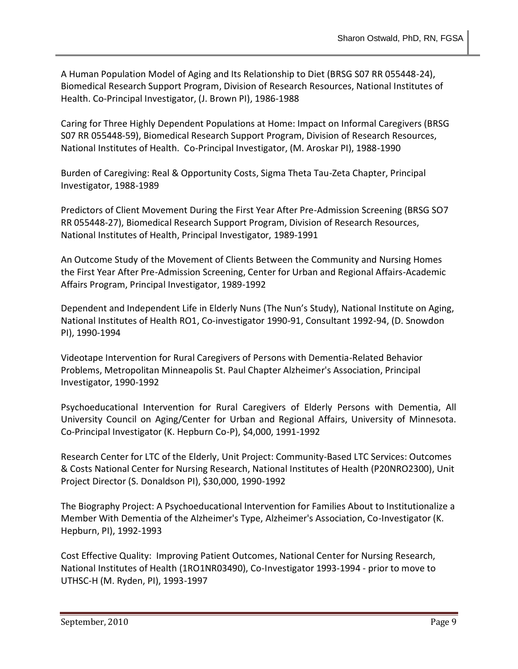A Human Population Model of Aging and Its Relationship to Diet (BRSG S07 RR 055448-24), Biomedical Research Support Program, Division of Research Resources, National Institutes of Health. Co-Principal Investigator, (J. Brown PI), 1986-1988

Caring for Three Highly Dependent Populations at Home: Impact on Informal Caregivers (BRSG S07 RR 055448-59), Biomedical Research Support Program, Division of Research Resources, National Institutes of Health. Co-Principal Investigator, (M. Aroskar PI), 1988-1990

Burden of Caregiving: Real & Opportunity Costs, Sigma Theta Tau-Zeta Chapter, Principal Investigator, 1988-1989

Predictors of Client Movement During the First Year After Pre-Admission Screening (BRSG SO7 RR 055448-27), Biomedical Research Support Program, Division of Research Resources, National Institutes of Health, Principal Investigator, 1989-1991

An Outcome Study of the Movement of Clients Between the Community and Nursing Homes the First Year After Pre-Admission Screening, Center for Urban and Regional Affairs-Academic Affairs Program, Principal Investigator, 1989-1992

Dependent and Independent Life in Elderly Nuns (The Nun's Study), National Institute on Aging, National Institutes of Health RO1, Co-investigator 1990-91, Consultant 1992-94, (D. Snowdon PI), 1990-1994

Videotape Intervention for Rural Caregivers of Persons with Dementia-Related Behavior Problems, Metropolitan Minneapolis St. Paul Chapter Alzheimer's Association, Principal Investigator, 1990-1992

Psychoeducational Intervention for Rural Caregivers of Elderly Persons with Dementia, All University Council on Aging/Center for Urban and Regional Affairs, University of Minnesota. Co-Principal Investigator (K. Hepburn Co-P), \$4,000, 1991-1992

Research Center for LTC of the Elderly, Unit Project: Community-Based LTC Services: Outcomes & Costs National Center for Nursing Research, National Institutes of Health (P20NRO2300), Unit Project Director (S. Donaldson PI), \$30,000, 1990-1992

The Biography Project: A Psychoeducational Intervention for Families About to Institutionalize a Member With Dementia of the Alzheimer's Type, Alzheimer's Association, Co-Investigator (K. Hepburn, PI), 1992-1993

Cost Effective Quality: Improving Patient Outcomes, National Center for Nursing Research, National Institutes of Health (1RO1NR03490), Co-Investigator 1993-1994 - prior to move to UTHSC-H (M. Ryden, PI), 1993-1997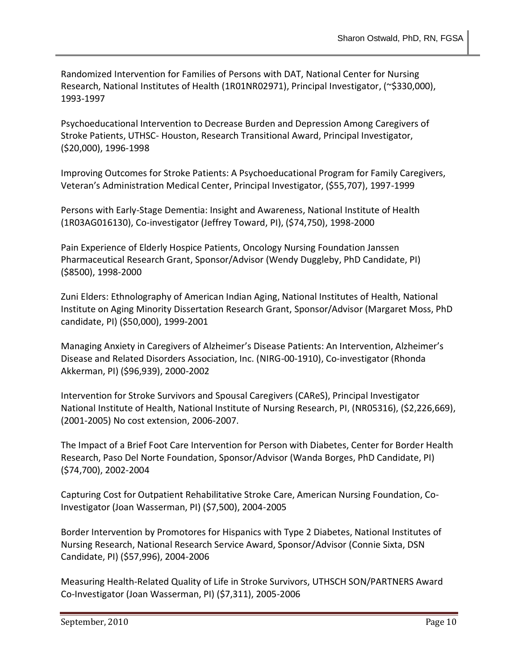Randomized Intervention for Families of Persons with DAT, National Center for Nursing Research, National Institutes of Health (1R01NR02971), Principal Investigator, (~\$330,000), 1993-1997

Psychoeducational Intervention to Decrease Burden and Depression Among Caregivers of Stroke Patients, UTHSC- Houston, Research Transitional Award, Principal Investigator, (\$20,000), 1996-1998

Improving Outcomes for Stroke Patients: A Psychoeducational Program for Family Caregivers, Veteran's Administration Medical Center, Principal Investigator, (\$55,707), 1997-1999

Persons with Early-Stage Dementia: Insight and Awareness, National Institute of Health (1R03AG016130), Co-investigator (Jeffrey Toward, PI), (\$74,750), 1998-2000

Pain Experience of Elderly Hospice Patients, Oncology Nursing Foundation Janssen Pharmaceutical Research Grant, Sponsor/Advisor (Wendy Duggleby, PhD Candidate, PI) (\$8500), 1998-2000

Zuni Elders: Ethnolography of American Indian Aging, National Institutes of Health, National Institute on Aging Minority Dissertation Research Grant, Sponsor/Advisor (Margaret Moss, PhD candidate, PI) (\$50,000), 1999-2001

Managing Anxiety in Caregivers of Alzheimer's Disease Patients: An Intervention, Alzheimer's Disease and Related Disorders Association, Inc. (NIRG-00-1910), Co-investigator (Rhonda Akkerman, PI) (\$96,939), 2000-2002

Intervention for Stroke Survivors and Spousal Caregivers (CAReS), Principal Investigator National Institute of Health, National Institute of Nursing Research, PI, (NR05316), (\$2,226,669), (2001-2005) No cost extension, 2006-2007.

The Impact of a Brief Foot Care Intervention for Person with Diabetes, Center for Border Health Research, Paso Del Norte Foundation, Sponsor/Advisor (Wanda Borges, PhD Candidate, PI) (\$74,700), 2002-2004

Capturing Cost for Outpatient Rehabilitative Stroke Care, American Nursing Foundation, Co-Investigator (Joan Wasserman, PI) (\$7,500), 2004-2005

Border Intervention by Promotores for Hispanics with Type 2 Diabetes, National Institutes of Nursing Research, National Research Service Award, Sponsor/Advisor (Connie Sixta, DSN Candidate, PI) (\$57,996), 2004-2006

Measuring Health-Related Quality of Life in Stroke Survivors, UTHSCH SON/PARTNERS Award Co-Investigator (Joan Wasserman, PI) (\$7,311), 2005-2006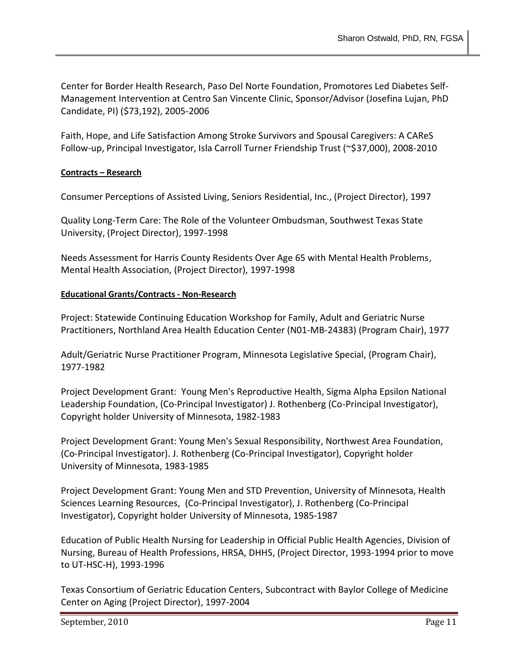Center for Border Health Research, Paso Del Norte Foundation, Promotores Led Diabetes Self-Management Intervention at Centro San Vincente Clinic, Sponsor/Advisor (Josefina Lujan, PhD Candidate, PI) (\$73,192), 2005-2006

Faith, Hope, and Life Satisfaction Among Stroke Survivors and Spousal Caregivers: A CAReS Follow-up, Principal Investigator, Isla Carroll Turner Friendship Trust (~\$37,000), 2008-2010

# **Contracts – Research**

Consumer Perceptions of Assisted Living, Seniors Residential, Inc., (Project Director), 1997

Quality Long-Term Care: The Role of the Volunteer Ombudsman, Southwest Texas State University, (Project Director), 1997-1998

Needs Assessment for Harris County Residents Over Age 65 with Mental Health Problems, Mental Health Association, (Project Director), 1997-1998

# **Educational Grants/Contracts - Non-Research**

Project: Statewide Continuing Education Workshop for Family, Adult and Geriatric Nurse Practitioners, Northland Area Health Education Center (N01-MB-24383) (Program Chair), 1977

Adult/Geriatric Nurse Practitioner Program, Minnesota Legislative Special, (Program Chair), 1977-1982

Project Development Grant: Young Men's Reproductive Health, Sigma Alpha Epsilon National Leadership Foundation, (Co-Principal Investigator) J. Rothenberg (Co-Principal Investigator), Copyright holder University of Minnesota, 1982-1983

Project Development Grant: Young Men's Sexual Responsibility, Northwest Area Foundation, (Co-Principal Investigator). J. Rothenberg (Co-Principal Investigator), Copyright holder University of Minnesota, 1983-1985

Project Development Grant: Young Men and STD Prevention, University of Minnesota, Health Sciences Learning Resources, (Co-Principal Investigator), J. Rothenberg (Co-Principal Investigator), Copyright holder University of Minnesota, 1985-1987

Education of Public Health Nursing for Leadership in Official Public Health Agencies, Division of Nursing, Bureau of Health Professions, HRSA, DHHS, (Project Director, 1993-1994 prior to move to UT-HSC-H), 1993-1996

Texas Consortium of Geriatric Education Centers, Subcontract with Baylor College of Medicine Center on Aging (Project Director), 1997-2004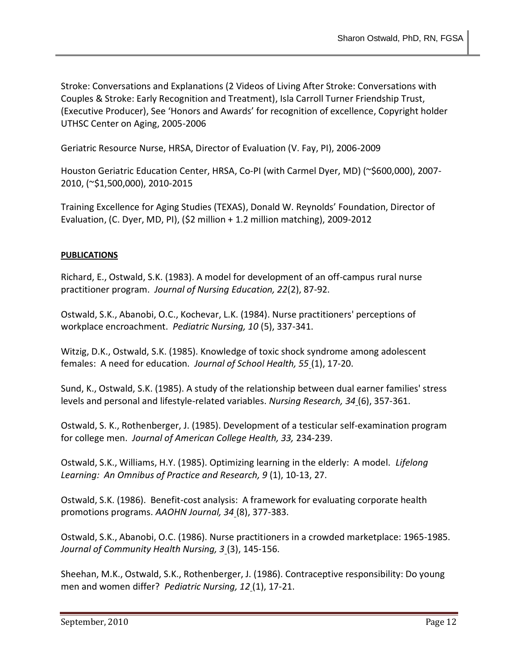Stroke: Conversations and Explanations (2 Videos of Living After Stroke: Conversations with Couples & Stroke: Early Recognition and Treatment), Isla Carroll Turner Friendship Trust, (Executive Producer), See 'Honors and Awards' for recognition of excellence, Copyright holder UTHSC Center on Aging, 2005-2006

Geriatric Resource Nurse, HRSA, Director of Evaluation (V. Fay, PI), 2006-2009

Houston Geriatric Education Center, HRSA, Co-PI (with Carmel Dyer, MD) (~\$600,000), 2007-2010, (~\$1,500,000), 2010-2015

Training Excellence for Aging Studies (TEXAS), Donald W. Reynolds' Foundation, Director of Evaluation, (C. Dyer, MD, PI), (\$2 million + 1.2 million matching), 2009-2012

# **PUBLICATIONS**

Richard, E., Ostwald, S.K. (1983). A model for development of an off-campus rural nurse practitioner program. *Journal of Nursing Education, 22*(2), 87-92.

Ostwald, S.K., Abanobi, O.C., Kochevar, L.K. (1984). Nurse practitioners' perceptions of workplace encroachment. *Pediatric Nursing, 10* (5), 337-341.

Witzig, D.K., Ostwald, S.K. (1985). Knowledge of toxic shock syndrome among adolescent females: A need for education. *Journal of School Health, 55* (1), 17-20.

Sund, K., Ostwald, S.K. (1985). A study of the relationship between dual earner families' stress levels and personal and lifestyle-related variables. *Nursing Research, 34* (6), 357-361.

Ostwald, S. K., Rothenberger, J. (1985). Development of a testicular self-examination program for college men. *Journal of American College Health, 33,* 234-239.

Ostwald, S.K., Williams, H.Y. (1985). Optimizing learning in the elderly: A model. *Lifelong Learning: An Omnibus of Practice and Research, 9* (1), 10-13, 27.

Ostwald, S.K. (1986). Benefit-cost analysis: A framework for evaluating corporate health promotions programs. *AAOHN Journal, 34* (8), 377-383.

Ostwald, S.K., Abanobi, O.C. (1986). Nurse practitioners in a crowded marketplace: 1965-1985. *Journal of Community Health Nursing, 3* (3), 145-156.

Sheehan, M.K., Ostwald, S.K., Rothenberger, J. (1986). Contraceptive responsibility: Do young men and women differ? *Pediatric Nursing, 12* (1), 17-21.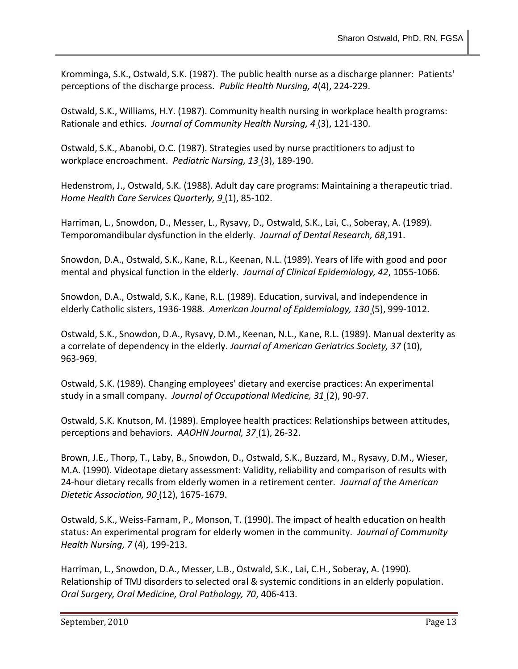Kromminga, S.K., Ostwald, S.K. (1987). The public health nurse as a discharge planner: Patients' perceptions of the discharge process. *Public Health Nursing, 4*(4), 224-229.

Ostwald, S.K., Williams, H.Y. (1987). Community health nursing in workplace health programs: Rationale and ethics. *Journal of Community Health Nursing, 4* (3), 121-130.

Ostwald, S.K., Abanobi, O.C. (1987). Strategies used by nurse practitioners to adjust to workplace encroachment. *Pediatric Nursing, 13* (3), 189-190.

Hedenstrom, J., Ostwald, S.K. (1988). Adult day care programs: Maintaining a therapeutic triad. *Home Health Care Services Quarterly, 9* (1), 85-102.

Harriman, L., Snowdon, D., Messer, L., Rysavy, D., Ostwald, S.K., Lai, C., Soberay, A. (1989). Temporomandibular dysfunction in the elderly. *Journal of Dental Research, 68*,191.

Snowdon, D.A., Ostwald, S.K., Kane, R.L., Keenan, N.L. (1989). Years of life with good and poor mental and physical function in the elderly. *Journal of Clinical Epidemiology, 42*, 1055-1066.

Snowdon, D.A., Ostwald, S.K., Kane, R.L. (1989). Education, survival, and independence in elderly Catholic sisters, 1936-1988. *American Journal of Epidemiology, 130* (5), 999-1012.

Ostwald, S.K., Snowdon, D.A., Rysavy, D.M., Keenan, N.L., Kane, R.L. (1989). Manual dexterity as a correlate of dependency in the elderly. *Journal of American Geriatrics Society, 37* (10), 963-969.

Ostwald, S.K. (1989). Changing employees' dietary and exercise practices: An experimental study in a small company. *Journal of Occupational Medicine, 31* (2), 90-97.

Ostwald, S.K. Knutson, M. (1989). Employee health practices: Relationships between attitudes, perceptions and behaviors. *AAOHN Journal, 37* (1), 26-32.

Brown, J.E., Thorp, T., Laby, B., Snowdon, D., Ostwald, S.K., Buzzard, M., Rysavy, D.M., Wieser, M.A. (1990). Videotape dietary assessment: Validity, reliability and comparison of results with 24-hour dietary recalls from elderly women in a retirement center. *Journal of the American Dietetic Association, 90* (12), 1675-1679.

Ostwald, S.K., Weiss-Farnam, P., Monson, T. (1990). The impact of health education on health status: An experimental program for elderly women in the community. *Journal of Community Health Nursing, 7* (4), 199-213.

Harriman, L., Snowdon, D.A., Messer, L.B., Ostwald, S.K., Lai, C.H., Soberay, A. (1990). Relationship of TMJ disorders to selected oral & systemic conditions in an elderly population. *Oral Surgery, Oral Medicine, Oral Pathology, 70*, 406-413.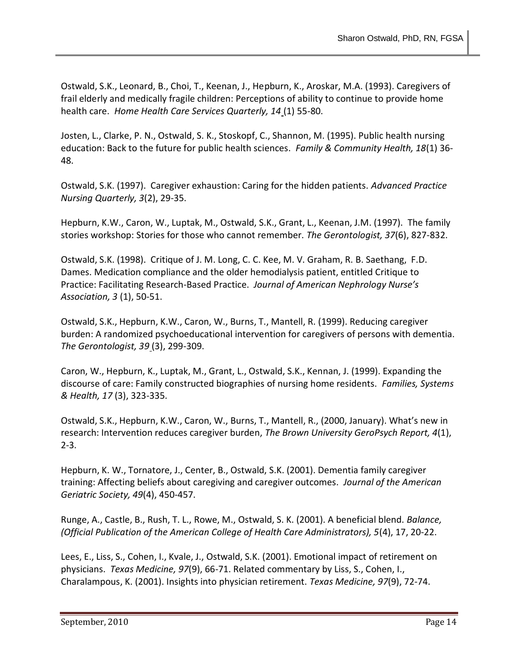Ostwald, S.K., Leonard, B., Choi, T., Keenan, J., Hepburn, K., Aroskar, M.A. (1993). Caregivers of frail elderly and medically fragile children: Perceptions of ability to continue to provide home health care. *Home Health Care Services Quarterly, 14* (1) 55-80.

Josten, L., Clarke, P. N., Ostwald, S. K., Stoskopf, C., Shannon, M. (1995). Public health nursing education: Back to the future for public health sciences. *Family & Community Health, 18*(1) 36- 48.

Ostwald, S.K. (1997). Caregiver exhaustion: Caring for the hidden patients. *Advanced Practice Nursing Quarterly, 3*(2), 29-35.

Hepburn, K.W., Caron, W., Luptak, M., Ostwald, S.K., Grant, L., Keenan, J.M. (1997). The family stories workshop: Stories for those who cannot remember. *The Gerontologist, 37*(6), 827-832.

Ostwald, S.K. (1998). Critique of J. M. Long, C. C. Kee, M. V. Graham, R. B. Saethang, F.D. Dames. Medication compliance and the older hemodialysis patient, entitled Critique to Practice: Facilitating Research-Based Practice. *Journal of American Nephrology Nurse's Association, 3* (1), 50-51.

Ostwald, S.K., Hepburn, K.W., Caron, W., Burns, T., Mantell, R. (1999). Reducing caregiver burden: A randomized psychoeducational intervention for caregivers of persons with dementia. *The Gerontologist, 39* (3), 299-309.

Caron, W., Hepburn, K., Luptak, M., Grant, L., Ostwald, S.K., Kennan, J. (1999). Expanding the discourse of care: Family constructed biographies of nursing home residents. *Families, Systems & Health, 17* (3), 323-335.

Ostwald, S.K., Hepburn, K.W., Caron, W., Burns, T., Mantell, R., (2000, January). What's new in research: Intervention reduces caregiver burden, *The Brown University GeroPsych Report, 4*(1), 2-3.

Hepburn, K. W., Tornatore, J., Center, B., Ostwald, S.K. (2001). Dementia family caregiver training: Affecting beliefs about caregiving and caregiver outcomes. *Journal of the American Geriatric Society, 49*(4), 450-457.

Runge, A., Castle, B., Rush, T. L., Rowe, M., Ostwald, S. K. (2001). A beneficial blend. *Balance, (Official Publication of the American College of Health Care Administrators), 5*(4), 17, 20-22.

Lees, E., Liss, S., Cohen, I., Kvale, J., Ostwald, S.K. (2001). Emotional impact of retirement on physicians. *Texas Medicine, 97*(9), 66-71. Related commentary by Liss, S., Cohen, I., Charalampous, K. (2001). Insights into physician retirement. *Texas Medicine, 97*(9), 72-74.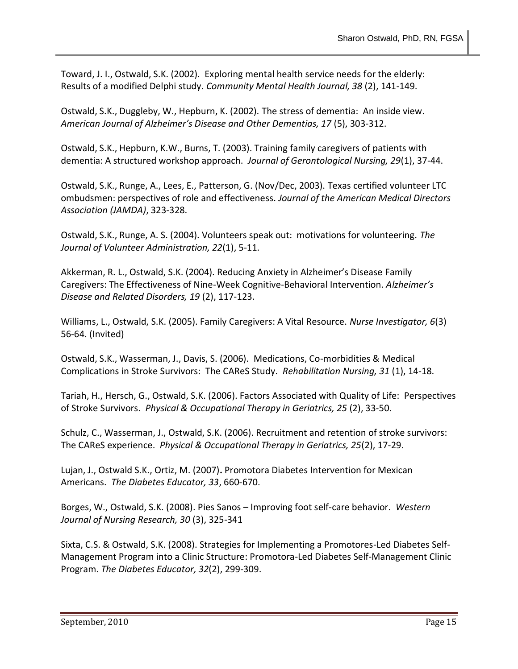Toward, J. I., Ostwald, S.K. (2002). Exploring mental health service needs for the elderly: Results of a modified Delphi study. *Community Mental Health Journal, 38* (2), 141-149.

Ostwald, S.K., Duggleby, W., Hepburn, K. (2002). The stress of dementia: An inside view. *American Journal of Alzheimer's Disease and Other Dementias, 17* (5), 303-312.

Ostwald, S.K., Hepburn, K.W., Burns, T. (2003). Training family caregivers of patients with dementia: A structured workshop approach. *Journal of Gerontological Nursing, 29*(1), 37-44.

Ostwald, S.K., Runge, A., Lees, E., Patterson, G. (Nov/Dec, 2003). Texas certified volunteer LTC ombudsmen: perspectives of role and effectiveness. *Journal of the American Medical Directors Association (JAMDA)*, 323-328.

Ostwald, S.K., Runge, A. S. (2004). Volunteers speak out: motivations for volunteering. *The Journal of Volunteer Administration, 22*(1), 5-11.

Akkerman, R. L., Ostwald, S.K. (2004). Reducing Anxiety in Alzheimer's Disease Family Caregivers: The Effectiveness of Nine-Week Cognitive-Behavioral Intervention. *Alzheimer's Disease and Related Disorders, 19* (2), 117-123.

Williams, L., Ostwald, S.K. (2005). Family Caregivers: A Vital Resource. *Nurse Investigator, 6*(3) 56-64. (Invited)

Ostwald, S.K., Wasserman, J., Davis, S. (2006). Medications, Co-morbidities & Medical Complications in Stroke Survivors: The CAReS Study. *Rehabilitation Nursing, 31* (1), 14-18.

Tariah, H., Hersch, G., Ostwald, S.K. (2006). Factors Associated with Quality of Life: Perspectives of Stroke Survivors. *Physical & Occupational Therapy in Geriatrics, 25* (2), 33-50.

Schulz, C., Wasserman, J., Ostwald, S.K. (2006). Recruitment and retention of stroke survivors: The CAReS experience. *Physical & Occupational Therapy in Geriatrics, 25*(2), 17-29.

Lujan, J., Ostwald S.K., Ortiz, M. (2007)**.** Promotora Diabetes Intervention for Mexican Americans. *The Diabetes Educator, 33*, 660-670.

Borges, W., Ostwald, S.K. (2008). Pies Sanos – Improving foot self-care behavior. *Western Journal of Nursing Research, 30* (3), 325-341

Sixta, C.S. & Ostwald, S.K. (2008). Strategies for Implementing a Promotores-Led Diabetes Self-Management Program into a Clinic Structure: Promotora-Led Diabetes Self-Management Clinic Program. *The Diabetes Educator, 32*(2), 299-309.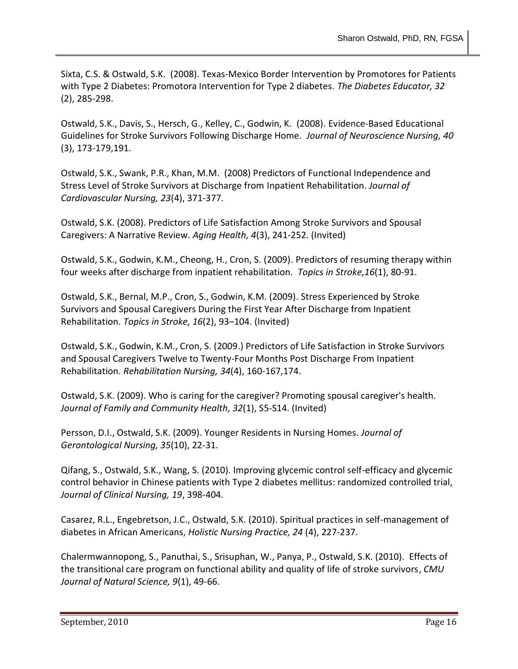Sixta, C.S. & Ostwald, S.K. (2008). Texas-Mexico Border Intervention by Promotores for Patients with Type 2 Diabetes: Promotora Intervention for Type 2 diabetes. *The Diabetes Educator, 32* (2), 285-298.

Ostwald, S.K., Davis, S., Hersch, G., Kelley, C., Godwin, K. (2008). Evidence-Based Educational Guidelines for Stroke Survivors Following Discharge Home. *Journal of Neuroscience Nursing, 40*  (3), 173-179,191.

Ostwald, S.K., Swank, P.R., Khan, M.M. (2008) Predictors of Functional Independence and Stress Level of Stroke Survivors at Discharge from Inpatient Rehabilitation. *Journal of Cardiovascular Nursing, 23*(4), 371-377.

Ostwald, S.K. (2008). [Predictors of Life Satisfaction Among](http://son.uth.tmc.edu/coa/downloads/cares/Life%20Satisfaction%20Narrative%20Review.pdf) Stroke Survivors and Spousal [Caregivers:](http://son.uth.tmc.edu/coa/downloads/cares/Life%20Satisfaction%20Narrative%20Review.pdf) A Narrative Review. *Aging Health, 4*(3), 241-252. (Invited)

Ostwald, S.K., Godwin, K.M., Cheong, H., Cron, S. (2009). Predictors of resuming therapy within four weeks after discharge from inpatient rehabilitation. *Topics in Stroke,16*(1), 80-91.

Ostwald, S.K., Bernal, M.P., Cron, S., Godwin, K.M. (2009). Stress Experienced by Stroke Survivors and Spousal Caregivers During the First Year After Discharge from Inpatient Rehabilitation. *Topics in Stroke, 16*(2), 93–104. (Invited)

Ostwald, S.K., Godwin, K.M., Cron, S. (2009.) Predictors of Life Satisfaction in Stroke Survivors and Spousal Caregivers Twelve to Twenty-Four Months Post Discharge From Inpatient Rehabilitation. *Rehabilitation Nursing, 34*(4), 160-167,174.

Ostwald, S.K. (2009). Who is caring for the caregiver? Promoting spousal caregiver's health. *Journal of Family and Community Health, 32*(1), S5-S14. (Invited)

Persson, D.I., Ostwald, S.K. (2009). Younger Residents in Nursing Homes. *Journal of Gerontological Nursing, 35*(10), 22-31.

Qifang, S., Ostwald, S.K., Wang, S. (2010). Improving glycemic control self-efficacy and glycemic control behavior in Chinese patients with Type 2 diabetes mellitus: randomized controlled trial, *Journal of Clinical Nursing, 19*, 398-404.

Casarez, R.L., Engebretson, J.C., Ostwald, S.K. (2010). Spiritual practices in self-management of diabetes in African Americans, *Holistic Nursing Practice, 24* (4), 227-237.

Chalermwannopong, S., Panuthai, S., Srisuphan, W., Panya, P., Ostwald, S.K. (2010). Effects of the transitional care program on functional ability and quality of life of stroke survivors, *CMU Journal of Natural Science, 9*(1), 49-66.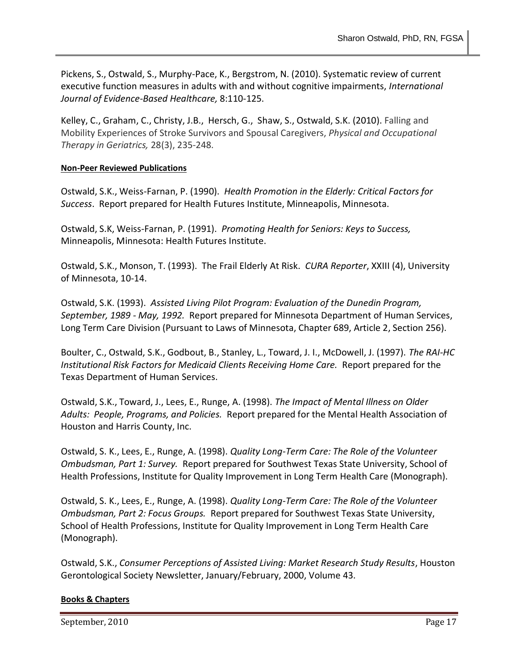Pickens, S., Ostwald, S., Murphy-Pace, K., Bergstrom, N. (2010). Systematic review of current executive function measures in adults with and without cognitive impairments, *International Journal of Evidence-Based Healthcare,* 8:110-125.

Kelley, C., [Graham, C.,](http://informahealthcare.com/action/doSearch?action=runSearch&type=advanced&result=true&prevSearch=%2Bauthorsfield%3A(Graham%252C%2BCecilia)) [Christy, J.B.,](http://informahealthcare.com/action/doSearch?action=runSearch&type=advanced&result=true&prevSearch=%2Bauthorsfield%3A(Christy%252C%2BJennifer%2BBraswell)) [Hersch, G., Shaw, S.,](http://informahealthcare.com/action/doSearch?action=runSearch&type=advanced&result=true&prevSearch=%2Bauthorsfield%3A(Hersch%252C%2BGayle)) [Ostwald, S.K.](http://informahealthcare.com/action/doSearch?action=runSearch&type=advanced&result=true&prevSearch=%2Bauthorsfield%3A(Ostwald%252C%2BSharon%2BK.)) (2010). Falling and Mobility Experiences of Stroke Survivors and Spousal Caregivers, *Physical and Occupational Therapy in Geriatrics,* 28(3), 235-248.

#### **Non-Peer Reviewed Publications**

Ostwald, S.K., Weiss-Farnan, P. (1990). *Health Promotion in the Elderly: Critical Factors for Success*. Report prepared for Health Futures Institute, Minneapolis, Minnesota.

Ostwald, S.K, Weiss-Farnan, P. (1991). *Promoting Health for Seniors: Keys to Success,* Minneapolis, Minnesota: Health Futures Institute.

Ostwald, S.K., Monson, T. (1993). The Frail Elderly At Risk. *CURA Reporter*, XXIII (4), University of Minnesota, 10-14.

Ostwald, S.K. (1993). *Assisted Living Pilot Program: Evaluation of the Dunedin Program, September, 1989 - May, 1992.* Report prepared for Minnesota Department of Human Services, Long Term Care Division (Pursuant to Laws of Minnesota, Chapter 689, Article 2, Section 256).

Boulter, C., Ostwald, S.K., Godbout, B., Stanley, L., Toward, J. I., McDowell, J. (1997). *The RAI-HC Institutional Risk Factors for Medicaid Clients Receiving Home Care.* Report prepared for the Texas Department of Human Services.

Ostwald, S.K., Toward, J., Lees, E., Runge, A. (1998). *The Impact of Mental Illness on Older Adults: People, Programs, and Policies.* Report prepared for the Mental Health Association of Houston and Harris County, Inc.

Ostwald, S. K., Lees, E., Runge, A. (1998). *Quality Long-Term Care: The Role of the Volunteer Ombudsman, Part 1: Survey.* Report prepared for Southwest Texas State University, School of Health Professions, Institute for Quality Improvement in Long Term Health Care (Monograph).

Ostwald, S. K., Lees, E., Runge, A. (1998). *Quality Long-Term Care: The Role of the Volunteer Ombudsman, Part 2: Focus Groups.* Report prepared for Southwest Texas State University, School of Health Professions, Institute for Quality Improvement in Long Term Health Care (Monograph).

Ostwald, S.K., *Consumer Perceptions of Assisted Living: Market Research Study Results*, Houston Gerontological Society Newsletter, January/February, 2000, Volume 43.

## **Books & Chapters**

September, 2010 Page 17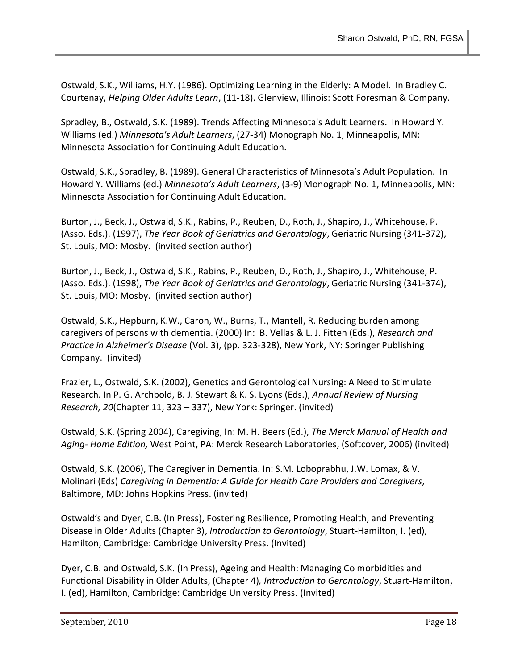Ostwald, S.K., Williams, H.Y. (1986). Optimizing Learning in the Elderly: A Model. In Bradley C. Courtenay, *Helping Older Adults Learn*, (11-18). Glenview, Illinois: Scott Foresman & Company.

Spradley, B., Ostwald, S.K. (1989). Trends Affecting Minnesota's Adult Learners. In Howard Y. Williams (ed.) *Minnesota's Adult Learners*, (27-34) Monograph No. 1, Minneapolis, MN: Minnesota Association for Continuing Adult Education.

Ostwald, S.K., Spradley, B. (1989). General Characteristics of Minnesota's Adult Population. In Howard Y. Williams (ed.) *Minnesota's Adult Learners*, (3-9) Monograph No. 1, Minneapolis, MN: Minnesota Association for Continuing Adult Education.

Burton, J., Beck, J., Ostwald, S.K., Rabins, P., Reuben, D., Roth, J., Shapiro, J., Whitehouse, P. (Asso. Eds.). (1997), *The Year Book of Geriatrics and Gerontology*, Geriatric Nursing (341-372), St. Louis, MO: Mosby. (invited section author)

Burton, J., Beck, J., Ostwald, S.K., Rabins, P., Reuben, D., Roth, J., Shapiro, J., Whitehouse, P. (Asso. Eds.). (1998), *The Year Book of Geriatrics and Gerontology*, Geriatric Nursing (341-374), St. Louis, MO: Mosby. (invited section author)

Ostwald, S.K., Hepburn, K.W., Caron, W., Burns, T., Mantell, R. Reducing burden among caregivers of persons with dementia. (2000) In: B. Vellas & L. J. Fitten (Eds.), *Research and Practice in Alzheimer's Disease* (Vol. 3), (pp. 323-328), New York, NY: Springer Publishing Company. (invited)

Frazier, L., Ostwald, S.K. (2002), Genetics and Gerontological Nursing: A Need to Stimulate Research. In P. G. Archbold, B. J. Stewart & K. S. Lyons (Eds.), *Annual Review of Nursing Research, 20*(Chapter 11, 323 – 337), New York: Springer. (invited)

Ostwald, S.K. (Spring 2004), Caregiving, In: M. H. Beers (Ed.), *The Merck Manual of Health and Aging- Home Edition,* West Point, PA: Merck Research Laboratories, (Softcover, 2006) (invited)

Ostwald, S.K. (2006), The Caregiver in Dementia. In: S.M. Loboprabhu, J.W. Lomax, & V. Molinari (Eds) *Caregiving in Dementia: A Guide for Health Care Providers and Caregivers,* Baltimore, MD: Johns Hopkins Press. (invited)

Ostwald's and Dyer, C.B. (In Press), Fostering Resilience, Promoting Health, and Preventing Disease in Older Adults (Chapter 3), *Introduction to Gerontology*, Stuart-Hamilton, I. (ed), Hamilton, Cambridge: Cambridge University Press. (Invited)

Dyer, C.B. and Ostwald, S.K. (In Press), Ageing and Health: Managing Co morbidities and Functional Disability in Older Adults, (Chapter 4)*, Introduction to Gerontology*, Stuart-Hamilton, I. (ed), Hamilton, Cambridge: Cambridge University Press. (Invited)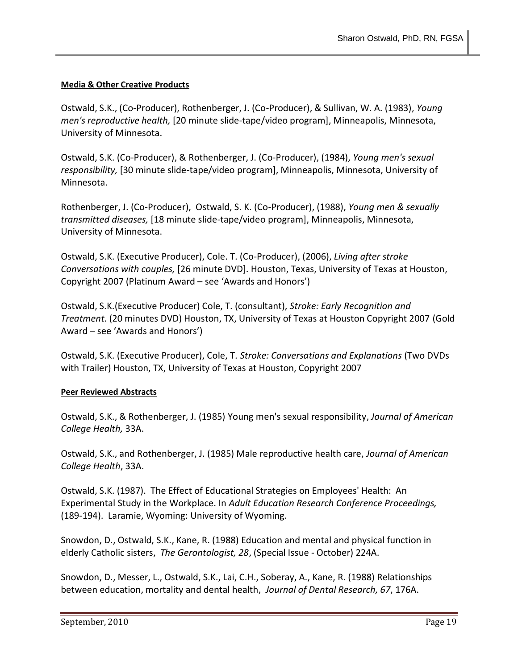## **Media & Other Creative Products**

Ostwald, S.K., (Co-Producer), Rothenberger, J. (Co-Producer), & Sullivan, W. A. (1983), *Young men's reproductive health,* [20 minute slide-tape/video program], Minneapolis, Minnesota, University of Minnesota.

Ostwald, S.K. (Co-Producer), & Rothenberger, J. (Co-Producer), (1984), *Young men's sexual responsibility,* [30 minute slide-tape/video program], Minneapolis, Minnesota, University of Minnesota.

Rothenberger, J. (Co-Producer), Ostwald, S. K. (Co-Producer), (1988), *Young men & sexually transmitted diseases,* [18 minute slide-tape/video program], Minneapolis, Minnesota, University of Minnesota.

Ostwald, S.K. (Executive Producer), Cole. T. (Co-Producer), (2006), *Living after stroke Conversations with couples,* [26 minute DVD]. Houston, Texas, University of Texas at Houston, Copyright 2007 (Platinum Award – see 'Awards and Honors')

Ostwald, S.K.(Executive Producer) Cole, T. (consultant), *Stroke: Early Recognition and Treatment*. (20 minutes DVD) Houston, TX, University of Texas at Houston Copyright 2007 (Gold Award – see 'Awards and Honors')

Ostwald, S.K. (Executive Producer), Cole, T. *Stroke: Conversations and Explanations* (Two DVDs with Trailer) Houston, TX, University of Texas at Houston, Copyright 2007

## **Peer Reviewed Abstracts**

Ostwald, S.K., & Rothenberger, J. (1985) Young men's sexual responsibility, *Journal of American College Health,* 33A.

Ostwald, S.K., and Rothenberger, J. (1985) Male reproductive health care, *Journal of American College Health*, 33A.

Ostwald, S.K. (1987). The Effect of Educational Strategies on Employees' Health: An Experimental Study in the Workplace. In *Adult Education Research Conference Proceedings,* (189-194). Laramie, Wyoming: University of Wyoming.

Snowdon, D., Ostwald, S.K., Kane, R. (1988) Education and mental and physical function in elderly Catholic sisters, *The Gerontologist, 28*, (Special Issue - October) 224A.

Snowdon, D., Messer, L., Ostwald, S.K., Lai, C.H., Soberay, A., Kane, R. (1988) Relationships between education, mortality and dental health, *Journal of Dental Research, 67*, 176A.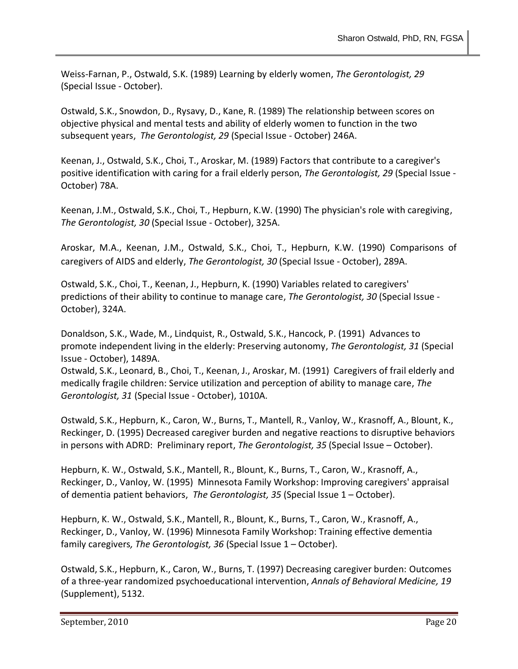Weiss-Farnan, P., Ostwald, S.K. (1989) Learning by elderly women, *The Gerontologist, 29* (Special Issue - October).

Ostwald, S.K., Snowdon, D., Rysavy, D., Kane, R. (1989) The relationship between scores on objective physical and mental tests and ability of elderly women to function in the two subsequent years, *The Gerontologist, 29* (Special Issue - October) 246A.

Keenan, J., Ostwald, S.K., Choi, T., Aroskar, M. (1989) Factors that contribute to a caregiver's positive identification with caring for a frail elderly person, *The Gerontologist, 29* (Special Issue - October) 78A.

Keenan, J.M., Ostwald, S.K., Choi, T., Hepburn, K.W. (1990) The physician's role with caregiving, *The Gerontologist, 30* (Special Issue - October), 325A.

Aroskar, M.A., Keenan, J.M., Ostwald, S.K., Choi, T., Hepburn, K.W. (1990) Comparisons of caregivers of AIDS and elderly, *The Gerontologist, 30* (Special Issue - October), 289A.

Ostwald, S.K., Choi, T., Keenan, J., Hepburn, K. (1990) Variables related to caregivers' predictions of their ability to continue to manage care, *The Gerontologist, 30* (Special Issue - October), 324A.

Donaldson, S.K., Wade, M., Lindquist, R., Ostwald, S.K., Hancock, P. (1991) Advances to promote independent living in the elderly: Preserving autonomy, *The Gerontologist, 31* (Special Issue - October), 1489A.

Ostwald, S.K., Leonard, B., Choi, T., Keenan, J., Aroskar, M. (1991) Caregivers of frail elderly and medically fragile children: Service utilization and perception of ability to manage care, *The Gerontologist, 31* (Special Issue - October), 1010A.

Ostwald, S.K., Hepburn, K., Caron, W., Burns, T., Mantell, R., Vanloy, W., Krasnoff, A., Blount, K., Reckinger, D. (1995) Decreased caregiver burden and negative reactions to disruptive behaviors in persons with ADRD: Preliminary report, *The Gerontologist, 35* (Special Issue – October).

Hepburn, K. W., Ostwald, S.K., Mantell, R., Blount, K., Burns, T., Caron, W., Krasnoff, A., Reckinger, D., Vanloy, W. (1995) Minnesota Family Workshop: Improving caregivers' appraisal of dementia patient behaviors, *The Gerontologist, 35* (Special Issue 1 – October).

Hepburn, K. W., Ostwald, S.K., Mantell, R., Blount, K., Burns, T., Caron, W., Krasnoff, A., Reckinger, D., Vanloy, W. (1996) Minnesota Family Workshop: Training effective dementia family caregivers*, The Gerontologist, 36* (Special Issue 1 – October).

Ostwald, S.K., Hepburn, K., Caron, W., Burns, T. (1997) Decreasing caregiver burden: Outcomes of a three-year randomized psychoeducational intervention, *Annals of Behavioral Medicine, 19* (Supplement), 5132.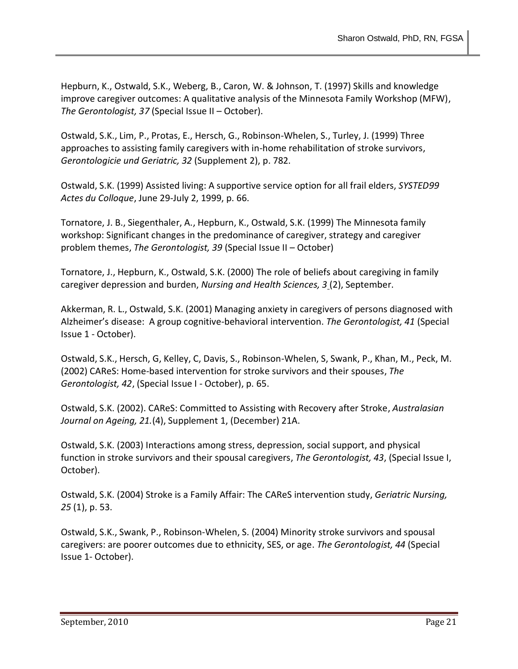Hepburn, K., Ostwald, S.K., Weberg, B., Caron, W. & Johnson, T. (1997) Skills and knowledge improve caregiver outcomes: A qualitative analysis of the Minnesota Family Workshop (MFW), *The Gerontologist, 37* (Special Issue II – October).

Ostwald, S.K., Lim, P., Protas, E., Hersch, G., Robinson-Whelen, S., Turley, J. (1999) Three approaches to assisting family caregivers with in-home rehabilitation of stroke survivors, *Gerontologicie und Geriatric, 32* (Supplement 2), p. 782.

Ostwald, S.K. (1999) Assisted living: A supportive service option for all frail elders, *SYSTED99 Actes du Colloque*, June 29-July 2, 1999, p. 66.

Tornatore, J. B., Siegenthaler, A., Hepburn, K., Ostwald, S.K. (1999) The Minnesota family workshop: Significant changes in the predominance of caregiver, strategy and caregiver problem themes, *The Gerontologist, 39* (Special Issue II – October)

Tornatore, J., Hepburn, K., Ostwald, S.K. (2000) The role of beliefs about caregiving in family caregiver depression and burden, *Nursing and Health Sciences, 3* (2), September.

Akkerman, R. L., Ostwald, S.K. (2001) Managing anxiety in caregivers of persons diagnosed with Alzheimer's disease: A group cognitive-behavioral intervention. *The Gerontologist, 41* (Special Issue 1 - October).

Ostwald, S.K., Hersch, G, Kelley, C, Davis, S., Robinson-Whelen, S, Swank, P., Khan, M., Peck, M. (2002) CAReS: Home-based intervention for stroke survivors and their spouses, *The Gerontologist, 42*, (Special Issue I - October), p. 65.

Ostwald, S.K. (2002). CAReS: Committed to Assisting with Recovery after Stroke, *Australasian Journal on Ageing, 21.*(4), Supplement 1, (December) 21A.

Ostwald, S.K. (2003) Interactions among stress, depression, social support, and physical function in stroke survivors and their spousal caregivers, *The Gerontologist, 43*, (Special Issue I, October).

Ostwald, S.K. (2004) Stroke is a Family Affair: The CAReS intervention study, *Geriatric Nursing, 25* (1), p. 53.

Ostwald, S.K., Swank, P., Robinson-Whelen, S. (2004) Minority stroke survivors and spousal caregivers: are poorer outcomes due to ethnicity, SES, or age. *The Gerontologist, 44* (Special Issue 1- October).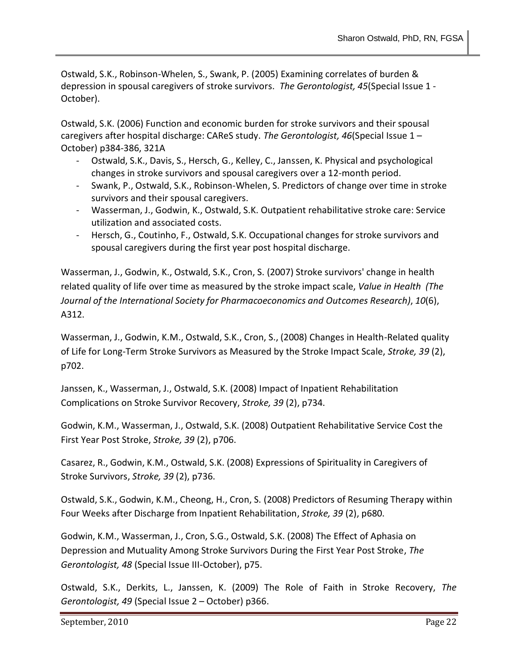Ostwald, S.K., Robinson-Whelen, S., Swank, P. (2005) Examining correlates of burden & depression in spousal caregivers of stroke survivors. *The Gerontologist, 45*(Special Issue 1 - October).

Ostwald, S.K. (2006) Function and economic burden for stroke survivors and their spousal caregivers after hospital discharge: CAReS study. *The Gerontologist, 46*(Special Issue 1 – October) p384-386, 321A

- Ostwald, S.K., Davis, S., Hersch, G., Kelley, C., Janssen, K. Physical and psychological changes in stroke survivors and spousal caregivers over a 12-month period.
- Swank, P., Ostwald, S.K., Robinson-Whelen, S. Predictors of change over time in stroke survivors and their spousal caregivers.
- Wasserman, J., Godwin, K., Ostwald, S.K. Outpatient rehabilitative stroke care: Service utilization and associated costs.
- Hersch, G., Coutinho, F., Ostwald, S.K. Occupational changes for stroke survivors and spousal caregivers during the first year post hospital discharge.

Wasserman, J., Godwin, K., Ostwald, S.K., Cron, S. (2007) Stroke survivors' change in health related quality of life over time as measured by the stroke impact scale, *Value in Health (The Journal of the International Society for Pharmacoeconomics and Outcomes Research)*, *10*(6), A312.

Wasserman, J., Godwin, K.M., Ostwald, S.K., Cron, S., (2008) Changes in Health-Related quality of Life for Long-Term Stroke Survivors as Measured by the Stroke Impact Scale, *Stroke, 39* (2), p702.

Janssen, K., Wasserman, J., Ostwald, S.K. (2008) Impact of Inpatient Rehabilitation Complications on Stroke Survivor Recovery, *Stroke, 39* (2), p734.

Godwin, K.M., Wasserman, J., Ostwald, S.K. (2008) Outpatient Rehabilitative Service Cost the First Year Post Stroke, *Stroke, 39* (2), p706.

Casarez, R., Godwin, K.M., Ostwald, S.K. (2008) Expressions of Spirituality in Caregivers of Stroke Survivors, *Stroke, 39* (2), p736.

Ostwald, S.K., Godwin, K.M., Cheong, H., Cron, S. (2008) Predictors of Resuming Therapy within Four Weeks after Discharge from Inpatient Rehabilitation, *Stroke, 39* (2), p680.

Godwin, K.M., Wasserman, J., Cron, S.G., Ostwald, S.K. (2008) The Effect of Aphasia on Depression and Mutuality Among Stroke Survivors During the First Year Post Stroke, *The Gerontologist, 48* (Special Issue III-October), p75.

Ostwald, S.K., Derkits, L., Janssen, K. (2009) The Role of Faith in Stroke Recovery, *The Gerontologist, 49* (Special Issue 2 – October) p366.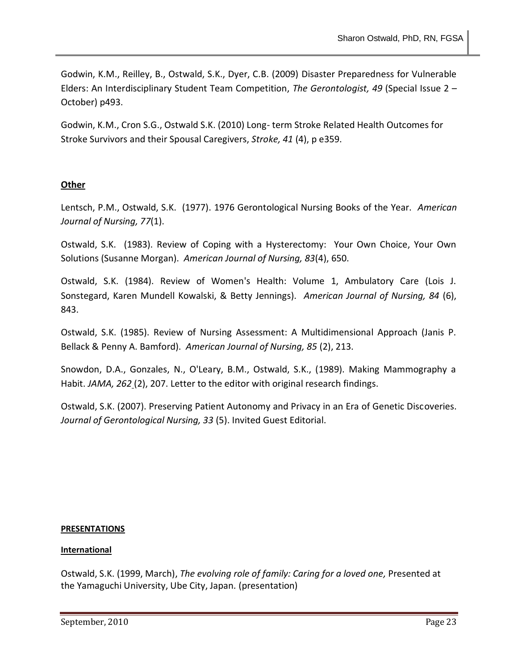Godwin, K.M., Reilley, B., Ostwald, S.K., Dyer, C.B. (2009) Disaster Preparedness for Vulnerable Elders: An Interdisciplinary Student Team Competition, *The Gerontologist, 49* (Special Issue 2 – October) p493.

Godwin, K.M., Cron S.G., Ostwald S.K. (2010) Long- term Stroke Related Health Outcomes for Stroke Survivors and their Spousal Caregivers, *Stroke, 41* (4), p e359.

# **Other**

Lentsch, P.M., Ostwald, S.K. (1977). 1976 Gerontological Nursing Books of the Year. *American Journal of Nursing, 77*(1).

Ostwald, S.K. (1983). Review of Coping with a Hysterectomy: Your Own Choice, Your Own Solutions (Susanne Morgan). *American Journal of Nursing, 83*(4), 650.

Ostwald, S.K. (1984). Review of Women's Health: Volume 1, Ambulatory Care (Lois J. Sonstegard, Karen Mundell Kowalski, & Betty Jennings). *American Journal of Nursing, 84* (6), 843.

Ostwald, S.K. (1985). Review of Nursing Assessment: A Multidimensional Approach (Janis P. Bellack & Penny A. Bamford). *American Journal of Nursing, 85* (2), 213.

Snowdon, D.A., Gonzales, N., O'Leary, B.M., Ostwald, S.K., (1989). Making Mammography a Habit. *JAMA, 262* (2), 207. Letter to the editor with original research findings.

Ostwald, S.K. (2007). Preserving Patient Autonomy and Privacy in an Era of Genetic Discoveries. *Journal of Gerontological Nursing, 33* (5). Invited Guest Editorial.

## **PRESENTATIONS**

## **International**

Ostwald, S.K. (1999, March), *The evolving role of family: Caring for a loved one,* Presented at the Yamaguchi University, Ube City, Japan. (presentation)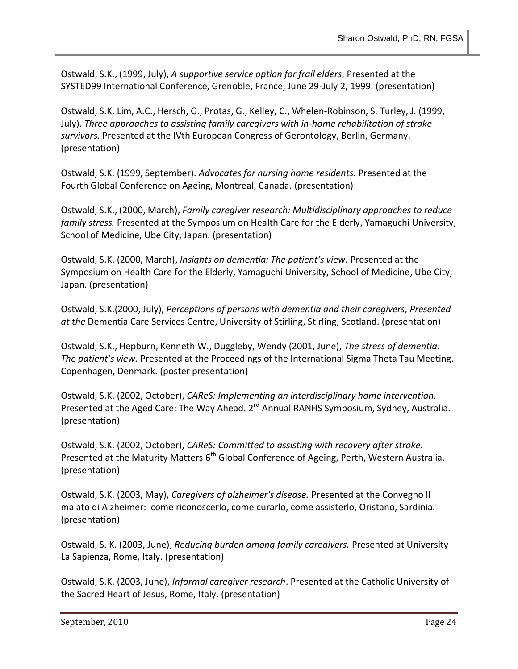Ostwald, S.K., (1999, July), *A supportive service option for frail elders,* Presented at the SYSTED99 International Conference, Grenoble, France, June 29-July 2, 1999. (presentation)

Ostwald, S.K. Lim, A.C., Hersch, G., Protas, G., Kelley, C., Whelen-Robinson, S. Turley, J. (1999, July). *Three approaches to assisting family caregivers with in-home rehabilitation of stroke survivors.* Presented at the IVth European Congress of Gerontology, Berlin, Germany. (presentation)

Ostwald, S.K. (1999, September). *Advocates for nursing home residents.* Presented at the Fourth Global Conference on Ageing, Montreal, Canada. (presentation)

Ostwald, S.K., (2000, March), *Family caregiver research: Multidisciplinary approaches to reduce family stress.* Presented at the Symposium on Health Care for the Elderly, Yamaguchi University, School of Medicine, Ube City, Japan. (presentation)

Ostwald, S.K. (2000, March), *Insights on dementia: The patient's view.* Presented at the Symposium on Health Care for the Elderly, Yamaguchi University, School of Medicine, Ube City, Japan. (presentation)

Ostwald, S.K.(2000, July), *Perceptions of persons with dementia and their caregivers, Presented at the* Dementia Care Services Centre, University of Stirling, Stirling, Scotland. (presentation)

Ostwald, S.K., Hepburn, Kenneth W., Duggleby, Wendy (2001, June), *The stress of dementia: The patient's view.* Presented at the Proceedings of the International Sigma Theta Tau Meeting. Copenhagen, Denmark. (poster presentation)

Ostwald, S.K. (2002, October), *CAReS: Implementing an interdisciplinary home intervention.* Presented at the Aged Care: The Way Ahead. 2<sup>rd</sup> Annual RANHS Symposium, Sydney, Australia. (presentation)

Ostwald, S.K. (2002, October), *CAReS: Committed to assisting with recovery after stroke.*  Presented at the Maturity Matters 6<sup>th</sup> Global Conference of Ageing, Perth, Western Australia. (presentation)

Ostwald, S.K. (2003, May), *Caregivers of alzheimer's disease.* Presented at the Convegno Il malato di Alzheimer: come riconoscerlo, come curarlo, come assisterlo, Oristano, Sardinia. (presentation)

Ostwald, S. K. (2003, June), *Reducing burden among family caregivers.* Presented at University La Sapienza, Rome, Italy. (presentation)

Ostwald, S.K. (2003, June), *Informal caregiver research*. Presented at the Catholic University of the Sacred Heart of Jesus, Rome, Italy. (presentation)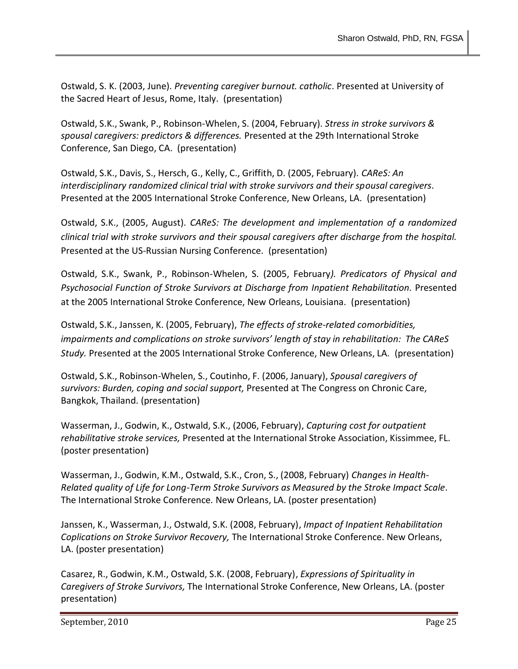Ostwald, S. K. (2003, June). *Preventing caregiver burnout. catholic*. Presented at University of the Sacred Heart of Jesus, Rome, Italy. (presentation)

Ostwald, S.K., Swank, P., Robinson-Whelen, S. (2004, February). *Stress in stroke survivors & spousal caregivers: predictors & differences.* Presented at the 29th International Stroke Conference, San Diego, CA. (presentation)

Ostwald, S.K., Davis, S., Hersch, G., Kelly, C., Griffith, D. (2005, February). *CAReS: An interdisciplinary randomized clinical trial with stroke survivors and their spousal caregivers*. Presented at the 2005 International Stroke Conference, New Orleans, LA. (presentation)

Ostwald, S.K., (2005, August). *CAReS: The development and implementation of a randomized clinical trial with stroke survivors and their spousal caregivers after discharge from the hospital.* Presented at the US-Russian Nursing Conference. (presentation)

Ostwald, S.K., Swank, P., Robinson-Whelen, S. (2005, February*). Predicators of Physical and Psychosocial Function of Stroke Survivors at Discharge from Inpatient Rehabilitation.* Presented at the 2005 International Stroke Conference, New Orleans, Louisiana. (presentation)

Ostwald, S.K., Janssen, K. (2005, February), *The effects of stroke-related comorbidities, impairments and complications on stroke survivors' length of stay in rehabilitation: The CAReS Study.* Presented at the 2005 International Stroke Conference, New Orleans, LA. (presentation)

Ostwald, S.K., Robinson-Whelen, S., Coutinho, F. (2006, January), *Spousal caregivers of survivors: Burden, coping and social support,* Presented at The Congress on Chronic Care, Bangkok, Thailand. (presentation)

Wasserman, J., Godwin, K., Ostwald, S.K., (2006, February), *Capturing cost for outpatient rehabilitative stroke services,* Presented at the International Stroke Association, Kissimmee, FL. (poster presentation)

Wasserman, J., Godwin, K.M., Ostwald, S.K., Cron, S., (2008, February) *Changes in Health-Related quality of Life for Long-Term Stroke Survivors as Measured by the Stroke Impact Scale*. The International Stroke Conference*.* New Orleans, LA. (poster presentation)

Janssen, K., Wasserman, J., Ostwald, S.K. (2008, February), *Impact of Inpatient Rehabilitation Coplications on Stroke Survivor Recovery,* The International Stroke Conference. New Orleans, LA. (poster presentation)

Casarez, R., Godwin, K.M., Ostwald, S.K. (2008, February), *Expressions of Spirituality in Caregivers of Stroke Survivors,* The International Stroke Conference, New Orleans, LA. (poster presentation)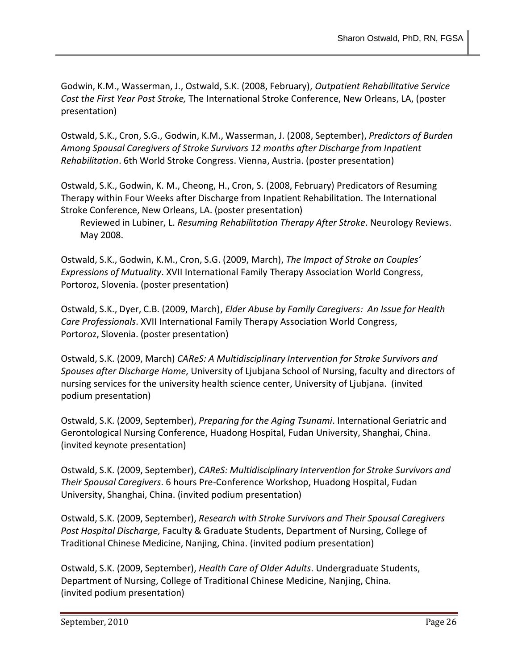Godwin, K.M., Wasserman, J., Ostwald, S.K. (2008, February), *Outpatient Rehabilitative Service Cost the First Year Post Stroke,* The International Stroke Conference, New Orleans, LA, (poster presentation)

Ostwald, S.K., Cron, S.G., Godwin, K.M., Wasserman, J. (2008, September), *Predictors of Burden Among Spousal Caregivers of Stroke Survivors 12 months after Discharge from Inpatient Rehabilitation*. 6th World Stroke Congress. Vienna, Austria. (poster presentation)

Ostwald, S.K., Godwin, K. M., Cheong, H., Cron, S. (2008, February) Predicators of Resuming Therapy within Four Weeks after Discharge from Inpatient Rehabilitation. The International Stroke Conference, New Orleans, LA. (poster presentation)

Reviewed in Lubiner, L. *Resuming Rehabilitation Therapy After Stroke*. Neurology Reviews. May 2008.

Ostwald, S.K., Godwin, K.M., Cron, S.G. (2009, March), *The Impact of Stroke on Couples' Expressions of Mutuality*. XVII International Family Therapy Association World Congress, Portoroz, Slovenia. (poster presentation)

Ostwald, S.K., Dyer, C.B. (2009, March), *Elder Abuse by Family Caregivers: An Issue for Health Care Professionals*. XVII International Family Therapy Association World Congress, Portoroz, Slovenia. (poster presentation)

Ostwald, S.K. (2009, March) *CAReS: A Multidisciplinary Intervention for Stroke Survivors and Spouses after Discharge Home,* University of Ljubjana School of Nursing, faculty and directors of nursing services for the university health science center, University of Ljubjana. (invited podium presentation)

Ostwald, S.K. (2009, September), *Preparing for the Aging Tsunami*. International Geriatric and Gerontological Nursing Conference, Huadong Hospital, Fudan University, Shanghai, China. (invited keynote presentation)

Ostwald, S.K. (2009, September), *CAReS: Multidisciplinary Intervention for Stroke Survivors and Their Spousal Caregivers*. 6 hours Pre-Conference Workshop, Huadong Hospital, Fudan University, Shanghai, China. (invited podium presentation)

Ostwald, S.K. (2009, September), *Research with Stroke Survivors and Their Spousal Caregivers Post Hospital Discharge,* Faculty & Graduate Students, Department of Nursing, College of Traditional Chinese Medicine, Nanjing, China. (invited podium presentation)

Ostwald, S.K. (2009, September), *Health Care of Older Adults*. Undergraduate Students, Department of Nursing, College of Traditional Chinese Medicine, Nanjing, China. (invited podium presentation)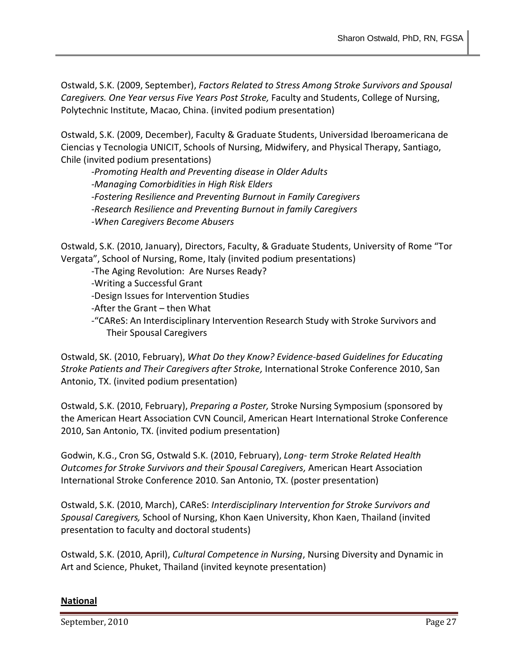Ostwald, S.K. (2009, September), *Factors Related to Stress Among Stroke Survivors and Spousal Caregivers. One Year versus Five Years Post Stroke,* Faculty and Students, College of Nursing, Polytechnic Institute, Macao, China. (invited podium presentation)

Ostwald, S.K. (2009, December), Faculty & Graduate Students, Universidad Iberoamericana de Ciencias y Tecnologia UNICIT, Schools of Nursing, Midwifery, and Physical Therapy, Santiago, Chile (invited podium presentations)

*-Promoting Health and Preventing disease in Older Adults -Managing Comorbidities in High Risk Elders -Fostering Resilience and Preventing Burnout in Family Caregivers -Research Resilience and Preventing Burnout in family Caregivers -When Caregivers Become Abusers*

Ostwald, S.K. (2010, January), Directors, Faculty, & Graduate Students, University of Rome "Tor Vergata", School of Nursing, Rome, Italy (invited podium presentations)

- -The Aging Revolution: Are Nurses Ready?
- -Writing a Successful Grant
- -Design Issues for Intervention Studies
- -After the Grant then What
- -"CAReS: An Interdisciplinary Intervention Research Study with Stroke Survivors and Their Spousal Caregivers

Ostwald, SK. (2010, February), *What Do they Know? Evidence-based Guidelines for Educating Stroke Patients and Their Caregivers after Stroke,* International Stroke Conference 2010, San Antonio, TX. (invited podium presentation)

Ostwald, S.K. (2010, February), *Preparing a Poster,* Stroke Nursing Symposium (sponsored by the American Heart Association CVN Council, American Heart International Stroke Conference 2010, San Antonio, TX. (invited podium presentation)

Godwin, K.G., Cron SG, Ostwald S.K. (2010, February), *Long- term Stroke Related Health Outcomes for Stroke Survivors and their Spousal Caregivers,* American Heart Association International Stroke Conference 2010. San Antonio, TX. (poster presentation)

Ostwald, S.K. (2010, March), CAReS: *Interdisciplinary Intervention for Stroke Survivors and Spousal Caregivers,* School of Nursing, Khon Kaen University, Khon Kaen, Thailand (invited presentation to faculty and doctoral students)

Ostwald, S.K. (2010, April), *Cultural Competence in Nursing*, Nursing Diversity and Dynamic in Art and Science, Phuket, Thailand (invited keynote presentation)

# **National**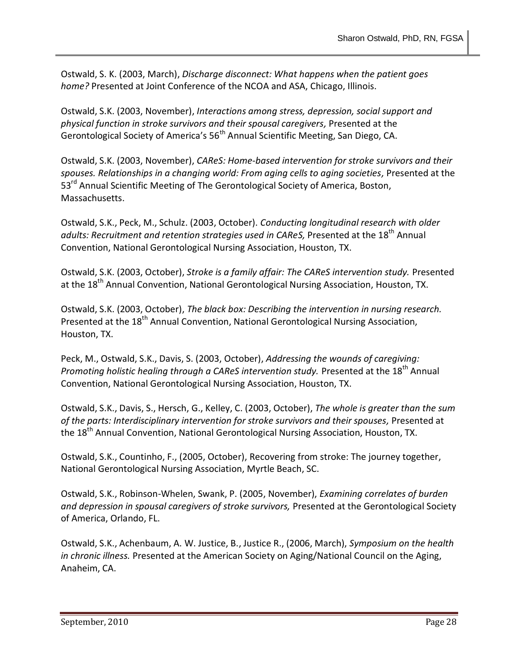Ostwald, S. K. (2003, March), *Discharge disconnect: What happens when the patient goes home?* Presented at Joint Conference of the NCOA and ASA, Chicago, Illinois.

Ostwald, S.K. (2003, November), *Interactions among stress, depression, social support and physical function in stroke survivors and their spousal caregivers,* Presented at the Gerontological Society of America's 56<sup>th</sup> Annual Scientific Meeting, San Diego, CA.

Ostwald, S.K. (2003, November), *CAReS: Home-based intervention for stroke survivors and their spouses. Relationships in a changing world: From aging cells to aging societies,* Presented at the 53<sup>rd</sup> Annual Scientific Meeting of The Gerontological Society of America, Boston, Massachusetts.

Ostwald, S.K., Peck, M., Schulz. (2003, October). *Conducting longitudinal research with older*  adults: Recruitment and retention strategies used in CAReS, Presented at the 18<sup>th</sup> Annual Convention, National Gerontological Nursing Association, Houston, TX.

Ostwald, S.K. (2003, October), *Stroke is a family affair: The CAReS intervention study.* Presented at the 18<sup>th</sup> Annual Convention, National Gerontological Nursing Association, Houston, TX.

Ostwald, S.K. (2003, October), *The black box: Describing the intervention in nursing research.*  Presented at the 18<sup>th</sup> Annual Convention, National Gerontological Nursing Association, Houston, TX.

Peck, M., Ostwald, S.K., Davis, S. (2003, October), *Addressing the wounds of caregiving: Promoting holistic healing through a CAReS intervention study.* Presented at the 18<sup>th</sup> Annual Convention, National Gerontological Nursing Association, Houston, TX.

Ostwald, S.K., Davis, S., Hersch, G., Kelley, C. (2003, October), *The whole is greater than the sum of the parts: Interdisciplinary intervention for stroke survivors and their spouses,* Presented at the 18<sup>th</sup> Annual Convention, National Gerontological Nursing Association, Houston, TX.

Ostwald, S.K., Countinho, F., (2005, October), Recovering from stroke: The journey together, National Gerontological Nursing Association, Myrtle Beach, SC.

Ostwald, S.K., Robinson-Whelen, Swank, P. (2005, November), *Examining correlates of burden and depression in spousal caregivers of stroke survivors,* Presented at the Gerontological Society of America, Orlando, FL.

Ostwald, S.K., Achenbaum, A. W. Justice, B., Justice R., (2006, March), *Symposium on the health in chronic illness.* Presented at the American Society on Aging/National Council on the Aging, Anaheim, CA.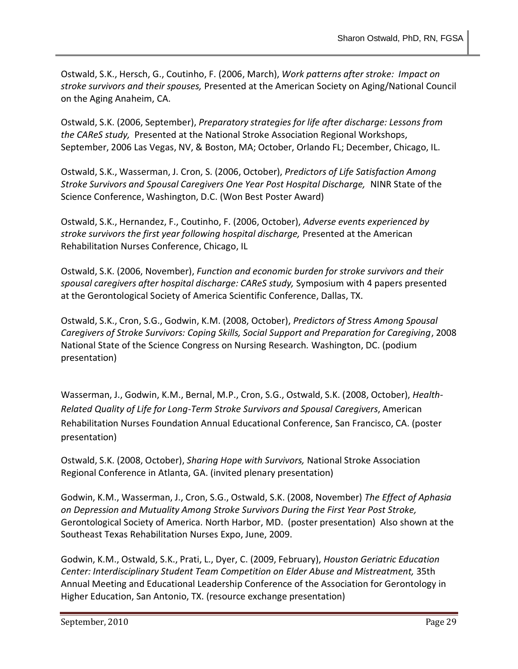Ostwald, S.K., Hersch, G., Coutinho, F. (2006, March), *Work patterns after stroke: Impact on stroke survivors and their spouses,* Presented at the American Society on Aging/National Council on the Aging Anaheim, CA.

Ostwald, S.K. (2006, September), *Preparatory strategies for life after discharge: Lessons from the CAReS study,* Presented at the National Stroke Association Regional Workshops, September, 2006 Las Vegas, NV, & Boston, MA; October, Orlando FL; December, Chicago, IL.

Ostwald, S.K., Wasserman, J. Cron, S. (2006, October), *Predictors of Life Satisfaction Among Stroke Survivors and Spousal Caregivers One Year Post Hospital Discharge,* NINR State of the Science Conference, Washington, D.C. (Won Best Poster Award)

Ostwald, S.K., Hernandez, F., Coutinho, F. (2006, October), *Adverse events experienced by stroke survivors the first year following hospital discharge,* Presented at the American Rehabilitation Nurses Conference, Chicago, IL

Ostwald, S.K. (2006, November), *Function and economic burden for stroke survivors and their spousal caregivers after hospital discharge: CAReS study,* Symposium with 4 papers presented at the Gerontological Society of America Scientific Conference, Dallas, TX.

Ostwald, S.K., Cron, S.G., Godwin, K.M. (2008, October), *Predictors of Stress Among Spousal Caregivers of Stroke Survivors: Coping Skills, Social Support and Preparation for Caregiving*, 2008 National State of the Science Congress on Nursing Research*.* Washington, DC. (podium presentation)

Wasserman, J., Godwin, K.M., Bernal, M.P., Cron, S.G., Ostwald, S.K. (2008, October), *Health-Related Quality of Life for Long-Term Stroke Survivors and Spousal Caregivers*, American Rehabilitation Nurses Foundation Annual Educational Conference, San Francisco, CA. (poster presentation)

Ostwald, S.K. (2008, October), *Sharing Hope with Survivors,* National Stroke Association Regional Conference in Atlanta, GA. (invited plenary presentation)

Godwin, K.M., Wasserman, J., Cron, S.G., Ostwald, S.K. (2008, November) *The Effect of Aphasia on Depression and Mutuality Among Stroke Survivors During the First Year Post Stroke,* Gerontological Society of America. North Harbor, MD. (poster presentation) Also shown at the Southeast Texas Rehabilitation Nurses Expo, June, 2009.

Godwin, K.M., Ostwald, S.K., Prati, L., Dyer, C. (2009, February), *Houston Geriatric Education Center: Interdisciplinary Student Team Competition on Elder Abuse and Mistreatment,* 35th Annual Meeting and Educational Leadership Conference of the Association for Gerontology in Higher Education, San Antonio, TX. (resource exchange presentation)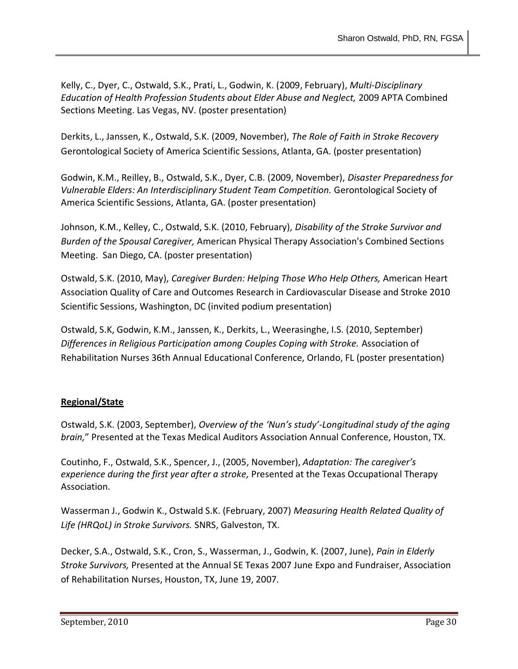Kelly, C., Dyer, C., Ostwald, S.K., Prati, L., Godwin, K. (2009, February), *Multi-Disciplinary Education of Health Profession Students about Elder Abuse and Neglect,* 2009 APTA Combined Sections Meeting. Las Vegas, NV. (poster presentation)

Derkits, L., Janssen, K., Ostwald, S.K. (2009, November), *The Role of Faith in Stroke Recovery* Gerontological Society of America Scientific Sessions, Atlanta, GA. (poster presentation)

Godwin, K.M., Reilley, B., Ostwald, S.K., Dyer, C.B. (2009, November), *Disaster Preparedness for Vulnerable Elders: An Interdisciplinary Student Team Competition.* Gerontological Society of America Scientific Sessions, Atlanta, GA. (poster presentation)

Johnson, K.M., Kelley, C., Ostwald, S.K. (2010, February), *Disability of the Stroke Survivor and Burden of the Spousal Caregiver,* American Physical Therapy Association's Combined Sections Meeting. San Diego, CA. (poster presentation)

Ostwald, S.K. (2010, May), *Caregiver Burden: Helping Those Who Help Others,* American Heart Association Quality of Care and Outcomes Research in Cardiovascular Disease and Stroke 2010 Scientific Sessions, Washington, DC (invited podium presentation)

Ostwald, S.K, Godwin, K.M., Janssen, K., Derkits, L., Weerasinghe, I.S. (2010, September) *Differences in Religious Participation among Couples Coping with Stroke.* Association of Rehabilitation Nurses 36th Annual Educational Conference, Orlando, FL (poster presentation)

# **Regional/State**

Ostwald, S.K. (2003, September), *Overview of the 'Nun's study'-Longitudinal study of the aging brain,*" Presented at the Texas Medical Auditors Association Annual Conference, Houston, TX.

Coutinho, F., Ostwald, S.K., Spencer, J., (2005, November), *Adaptation: The caregiver's experience during the first year after a stroke,* Presented at the Texas Occupational Therapy Association.

Wasserman J., Godwin K., Ostwald S.K. (February, 2007) *Measuring Health Related Quality of Life (HRQoL) in Stroke Survivors.* SNRS, Galveston, TX.

Decker, S.A., Ostwald, S.K., Cron, S., Wasserman, J., Godwin, K. (2007, June), *Pain in Elderly Stroke Survivors,* Presented at the Annual SE Texas 2007 June Expo and Fundraiser, Association of Rehabilitation Nurses, Houston, TX, June 19, 2007.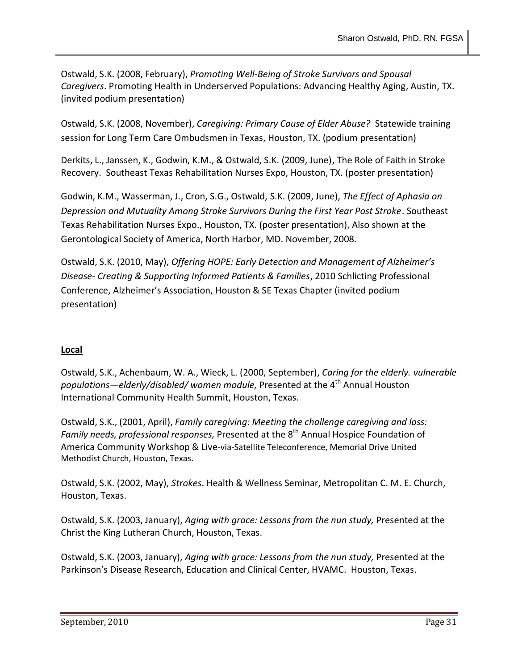Ostwald, S.K. (2008, February), *Promoting Well-Being of Stroke Survivors and Spousal Caregivers*. Promoting Health in Underserved Populations: Advancing Healthy Aging, Austin, TX. (invited podium presentation)

Ostwald, S.K. (2008, November), *Caregiving: Primary Cause of Elder Abuse?* Statewide training session for Long Term Care Ombudsmen in Texas, Houston, TX. (podium presentation)

Derkits, L., Janssen, K., Godwin, K.M., & Ostwald, S.K. (2009, June), The Role of Faith in Stroke Recovery. Southeast Texas Rehabilitation Nurses Expo, Houston, TX. (poster presentation)

Godwin, K.M., Wasserman, J., Cron, S.G., Ostwald, S.K. (2009, June), *The Effect of Aphasia on Depression and Mutuality Among Stroke Survivors During the First Year Post Stroke*. Southeast Texas Rehabilitation Nurses Expo., Houston, TX. (poster presentation), Also shown at the Gerontological Society of America, North Harbor, MD. November, 2008.

Ostwald, S.K. (2010, May), *Offering HOPE: Early Detection and Management of Alzheimer's Disease- Creating & Supporting Informed Patients & Families*, 2010 Schlicting Professional Conference, Alzheimer's Association, Houston & SE Texas Chapter (invited podium presentation)

# **Local**

Ostwald, S.K., Achenbaum, W. A., Wieck, L. (2000, September), *Caring for the elderly. vulnerable populations—elderly/disabled/ women module,* Presented at the 4<sup>th</sup> Annual Houston International Community Health Summit, Houston, Texas.

Ostwald, S.K., (2001, April), *Family caregiving: Meeting the challenge caregiving and loss: Family needs, professional responses, Presented at the 8<sup>th</sup> Annual Hospice Foundation of* America Community Workshop & Live-via-Satellite Teleconference, Memorial Drive United Methodist Church, Houston, Texas.

Ostwald, S.K. (2002, May), *Strokes*. Health & Wellness Seminar, Metropolitan C. M. E. Church, Houston, Texas.

Ostwald, S.K. (2003, January), *Aging with grace: Lessons from the nun study,* Presented at the Christ the King Lutheran Church, Houston, Texas.

Ostwald, S.K. (2003, January), *Aging with grace: Lessons from the nun study,* Presented at the Parkinson's Disease Research, Education and Clinical Center, HVAMC. Houston, Texas.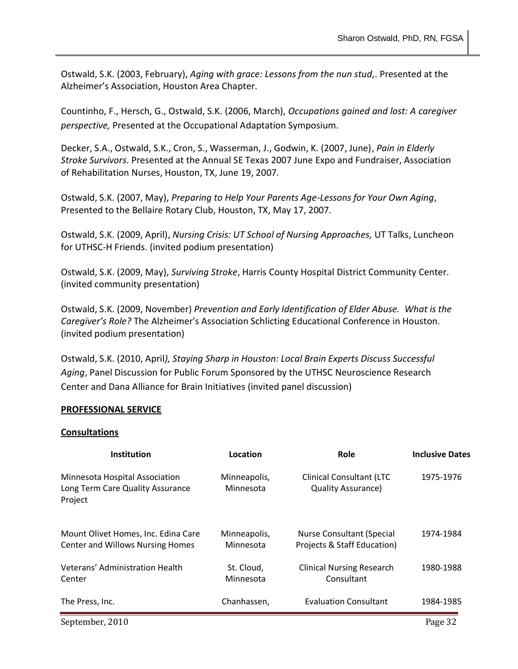Ostwald, S.K. (2003, February), *Aging with grace: Lessons from the nun stud,*. Presented at the Alzheimer's Association, Houston Area Chapter.

Countinho, F., Hersch, G., Ostwald, S.K. (2006, March), *Occupations gained and lost: A caregiver perspective,* Presented at the Occupational Adaptation Symposium.

Decker, S.A., Ostwald, S.K., Cron, S., Wasserman, J., Godwin, K. (2007, June), *Pain in Elderly Stroke Survivors*. Presented at the Annual SE Texas 2007 June Expo and Fundraiser, Association of Rehabilitation Nurses, Houston, TX, June 19, 2007.

Ostwald, S.K. (2007, May), *Preparing to Help Your Parents Age-Lessons for Your Own Aging*, Presented to the Bellaire Rotary Club, Houston, TX, May 17, 2007.

Ostwald, S.K. (2009, April), *Nursing Crisis: UT School of Nursing Approaches,* UT Talks, Luncheon for UTHSC-H Friends. (invited podium presentation)

Ostwald, S.K. (2009, May), *Surviving Stroke*, Harris County Hospital District Community Center. (invited community presentation)

Ostwald, S.K. (2009, November) *Prevention and Early Identification of Elder Abuse. What is the Caregiver's Role?* The Alzheimer's Association Schlicting Educational Conference in Houston. (invited podium presentation)

Ostwald, S.K. (2010, April*), Staying Sharp in Houston: Local Brain Experts Discuss Successful Aging*, Panel Discussion for Public Forum Sponsored by the UTHSC Neuroscience Research Center and Dana Alliance for Brain Initiatives (invited panel discussion)

## **PROFESSIONAL SERVICE**

#### **Consultations**

| <b>Institution</b>                                                             | Location                  | Role                                                            | <b>Inclusive Dates</b> |
|--------------------------------------------------------------------------------|---------------------------|-----------------------------------------------------------------|------------------------|
| Minnesota Hospital Association<br>Long Term Care Quality Assurance<br>Project  | Minneapolis,<br>Minnesota | <b>Clinical Consultant (LTC</b><br><b>Quality Assurance)</b>    | 1975-1976              |
| Mount Olivet Homes, Inc. Edina Care<br><b>Center and Willows Nursing Homes</b> | Minneapolis,<br>Minnesota | <b>Nurse Consultant (Special</b><br>Projects & Staff Education) | 1974-1984              |
| Veterans' Administration Health<br>Center                                      | St. Cloud,<br>Minnesota   | <b>Clinical Nursing Research</b><br>Consultant                  | 1980-1988              |
| The Press, Inc.                                                                | Chanhassen,               | <b>Evaluation Consultant</b>                                    | 1984-1985              |

September, 2010 Page 32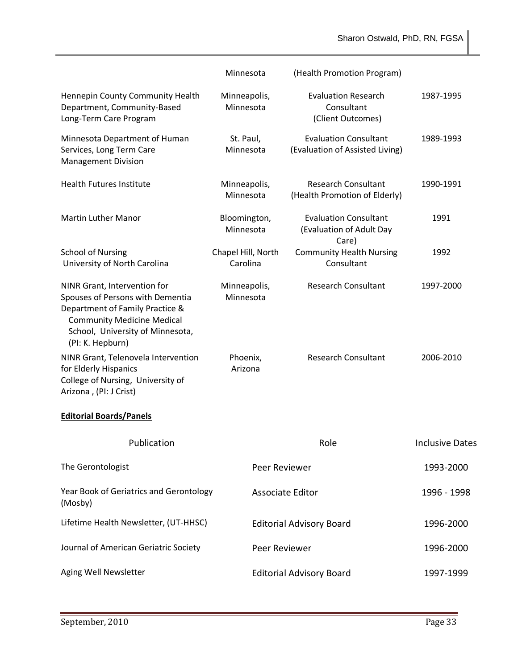Sharon Ostwald, PhD, RN, FGSA

|                                                                                                                                                                                                  | Minnesota                      | (Health Promotion Program)                                        |                        |
|--------------------------------------------------------------------------------------------------------------------------------------------------------------------------------------------------|--------------------------------|-------------------------------------------------------------------|------------------------|
| Hennepin County Community Health<br>Department, Community-Based<br>Long-Term Care Program                                                                                                        | Minneapolis,<br>Minnesota      | <b>Evaluation Research</b><br>Consultant<br>(Client Outcomes)     | 1987-1995              |
| Minnesota Department of Human<br>Services, Long Term Care<br><b>Management Division</b>                                                                                                          | St. Paul,<br>Minnesota         | <b>Evaluation Consultant</b><br>(Evaluation of Assisted Living)   | 1989-1993              |
| <b>Health Futures Institute</b>                                                                                                                                                                  | Minneapolis,<br>Minnesota      | <b>Research Consultant</b><br>(Health Promotion of Elderly)       | 1990-1991              |
| <b>Martin Luther Manor</b>                                                                                                                                                                       | Bloomington,<br>Minnesota      | <b>Evaluation Consultant</b><br>(Evaluation of Adult Day<br>Care) | 1991                   |
| <b>School of Nursing</b><br>University of North Carolina                                                                                                                                         | Chapel Hill, North<br>Carolina | <b>Community Health Nursing</b><br>Consultant                     | 1992                   |
| NINR Grant, Intervention for<br>Spouses of Persons with Dementia<br>Department of Family Practice &<br><b>Community Medicine Medical</b><br>School, University of Minnesota,<br>(PI: K. Hepburn) | Minneapolis,<br>Minnesota      | <b>Research Consultant</b>                                        | 1997-2000              |
| NINR Grant, Telenovela Intervention<br>for Elderly Hispanics<br>College of Nursing, University of<br>Arizona, (PI: J Crist)                                                                      | Phoenix,<br>Arizona            | <b>Research Consultant</b>                                        | 2006-2010              |
| <b>Editorial Boards/Panels</b>                                                                                                                                                                   |                                |                                                                   |                        |
| Publication                                                                                                                                                                                      |                                | Role                                                              | <b>Inclusive Dates</b> |
| The Gerontologist                                                                                                                                                                                | Peer Reviewer                  |                                                                   | 1993-2000              |
| Year Book of Geriatrics and Gerontology<br>(Mosby)                                                                                                                                               | <b>Associate Editor</b>        |                                                                   | 1996 - 1998            |
| Lifetime Health Newsletter, (UT-HHSC)                                                                                                                                                            |                                | <b>Editorial Advisory Board</b>                                   | 1996-2000              |
| Journal of American Geriatric Society                                                                                                                                                            | Peer Reviewer                  |                                                                   | 1996-2000              |
| Aging Well Newsletter                                                                                                                                                                            |                                | <b>Editorial Advisory Board</b>                                   | 1997-1999              |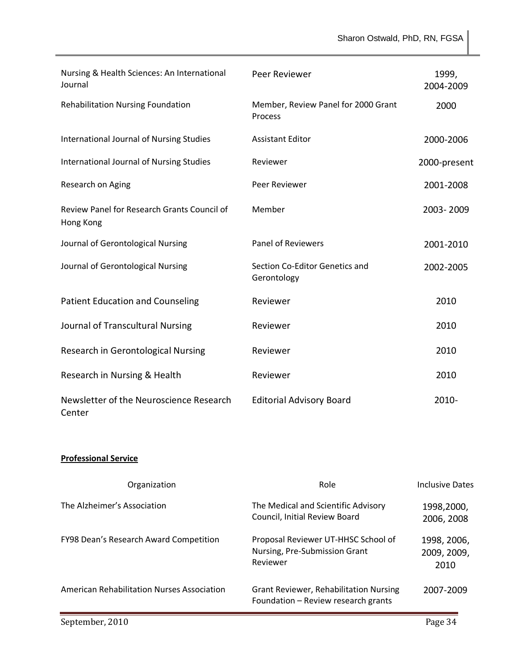Sharon Ostwald, PhD, RN, FGSA

| Nursing & Health Sciences: An International<br>Journal   | Peer Reviewer                                  | 1999,<br>2004-2009 |
|----------------------------------------------------------|------------------------------------------------|--------------------|
| Rehabilitation Nursing Foundation                        | Member, Review Panel for 2000 Grant<br>Process | 2000               |
| <b>International Journal of Nursing Studies</b>          | <b>Assistant Editor</b>                        | 2000-2006          |
| <b>International Journal of Nursing Studies</b>          | Reviewer                                       | 2000-present       |
| Research on Aging                                        | Peer Reviewer                                  | 2001-2008          |
| Review Panel for Research Grants Council of<br>Hong Kong | Member                                         | 2003-2009          |
| Journal of Gerontological Nursing                        | <b>Panel of Reviewers</b>                      | 2001-2010          |
| Journal of Gerontological Nursing                        | Section Co-Editor Genetics and<br>Gerontology  | 2002-2005          |
| <b>Patient Education and Counseling</b>                  | Reviewer                                       | 2010               |
| Journal of Transcultural Nursing                         | Reviewer                                       | 2010               |
| Research in Gerontological Nursing                       | Reviewer                                       | 2010               |
| Research in Nursing & Health                             | Reviewer                                       | 2010               |
| Newsletter of the Neuroscience Research<br>Center        | <b>Editorial Advisory Board</b>                | $2010 -$           |

# **Professional Service**

| Organization                               | Role                                                                                 | Inclusive Dates                    |
|--------------------------------------------|--------------------------------------------------------------------------------------|------------------------------------|
| The Alzheimer's Association                | The Medical and Scientific Advisory<br>Council, Initial Review Board                 | 1998,2000,<br>2006, 2008           |
| FY98 Dean's Research Award Competition     | Proposal Reviewer UT-HHSC School of<br>Nursing, Pre-Submission Grant<br>Reviewer     | 1998, 2006,<br>2009, 2009,<br>2010 |
| American Rehabilitation Nurses Association | <b>Grant Reviewer, Rehabilitation Nursing</b><br>Foundation - Review research grants | 2007-2009                          |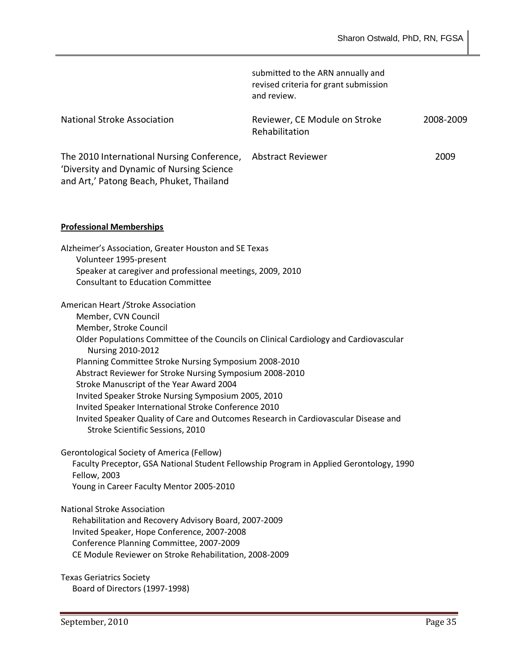|                                                                                                                                     | submitted to the ARN annually and<br>revised criteria for grant submission<br>and review. |           |
|-------------------------------------------------------------------------------------------------------------------------------------|-------------------------------------------------------------------------------------------|-----------|
| <b>National Stroke Association</b>                                                                                                  | Reviewer, CE Module on Stroke<br>Rehabilitation                                           | 2008-2009 |
| The 2010 International Nursing Conference,<br>'Diversity and Dynamic of Nursing Science<br>and Art,' Patong Beach, Phuket, Thailand | Abstract Reviewer                                                                         | 2009      |

#### **Professional Memberships**

| Alzheimer's Association, Greater Houston and SE Texas                                                      |  |
|------------------------------------------------------------------------------------------------------------|--|
| Volunteer 1995-present                                                                                     |  |
| Speaker at caregiver and professional meetings, 2009, 2010                                                 |  |
| <b>Consultant to Education Committee</b>                                                                   |  |
| American Heart / Stroke Association                                                                        |  |
| Member, CVN Council                                                                                        |  |
| Member, Stroke Council                                                                                     |  |
| Older Populations Committee of the Councils on Clinical Cardiology and Cardiovascular<br>Nursing 2010-2012 |  |
| Planning Committee Stroke Nursing Symposium 2008-2010                                                      |  |
| Abstract Reviewer for Stroke Nursing Symposium 2008-2010                                                   |  |
| Stroke Manuscript of the Year Award 2004                                                                   |  |
| Invited Speaker Stroke Nursing Symposium 2005, 2010                                                        |  |
| Invited Speaker International Stroke Conference 2010                                                       |  |
| Invited Speaker Quality of Care and Outcomes Research in Cardiovascular Disease and                        |  |
| Stroke Scientific Sessions, 2010                                                                           |  |
| Gerontological Society of America (Fellow)                                                                 |  |
| Faculty Preceptor, GSA National Student Fellowship Program in Applied Gerontology, 1990                    |  |

Faculty Preceptor, GSA National Student Fellowship Program in Applied Gerontology, 1990 Fellow, 2003 Young in Career Faculty Mentor 2005-2010

National Stroke Association

Rehabilitation and Recovery Advisory Board, 2007-2009 Invited Speaker, Hope Conference, 2007-2008 Conference Planning Committee, 2007-2009 CE Module Reviewer on Stroke Rehabilitation, 2008-2009

Texas Geriatrics Society Board of Directors (1997-1998)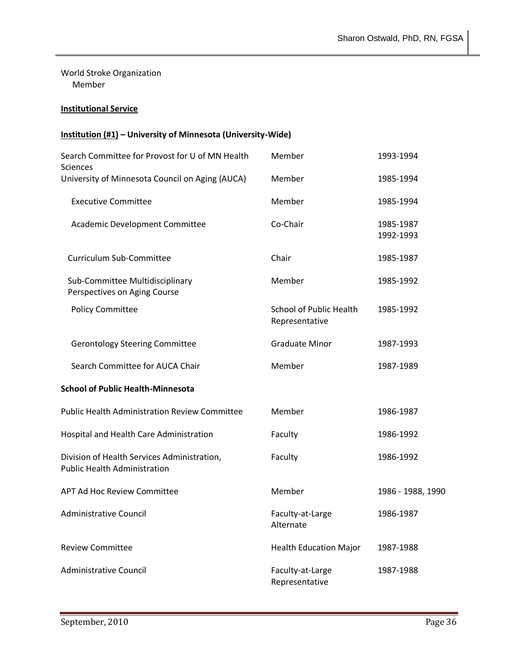World Stroke Organization Member

# **Institutional Service**

# **Institution (#1) – University of Minnesota (University-Wide)**

| Search Committee for Provost for U of MN Health<br><b>Sciences</b>                 | Member                                           | 1993-1994              |
|------------------------------------------------------------------------------------|--------------------------------------------------|------------------------|
| University of Minnesota Council on Aging (AUCA)                                    | Member                                           | 1985-1994              |
| <b>Executive Committee</b>                                                         | Member                                           | 1985-1994              |
| Academic Development Committee                                                     | Co-Chair                                         | 1985-1987<br>1992-1993 |
| Curriculum Sub-Committee                                                           | Chair                                            | 1985-1987              |
| Sub-Committee Multidisciplinary<br>Perspectives on Aging Course                    | Member                                           | 1985-1992              |
| <b>Policy Committee</b>                                                            | <b>School of Public Health</b><br>Representative | 1985-1992              |
| <b>Gerontology Steering Committee</b>                                              | <b>Graduate Minor</b>                            | 1987-1993              |
| Search Committee for AUCA Chair                                                    | Member                                           | 1987-1989              |
| <b>School of Public Health-Minnesota</b>                                           |                                                  |                        |
| <b>Public Health Administration Review Committee</b>                               | Member                                           | 1986-1987              |
| Hospital and Health Care Administration                                            | Faculty                                          | 1986-1992              |
| Division of Health Services Administration,<br><b>Public Health Administration</b> | Faculty                                          | 1986-1992              |
| <b>APT Ad Hoc Review Committee</b>                                                 | Member                                           | 1986 - 1988, 1990      |
| <b>Administrative Council</b>                                                      | Faculty-at-Large<br>Alternate                    | 1986-1987              |
| <b>Review Committee</b>                                                            | <b>Health Education Major</b>                    | 1987-1988              |
| <b>Administrative Council</b>                                                      | Faculty-at-Large<br>Representative               | 1987-1988              |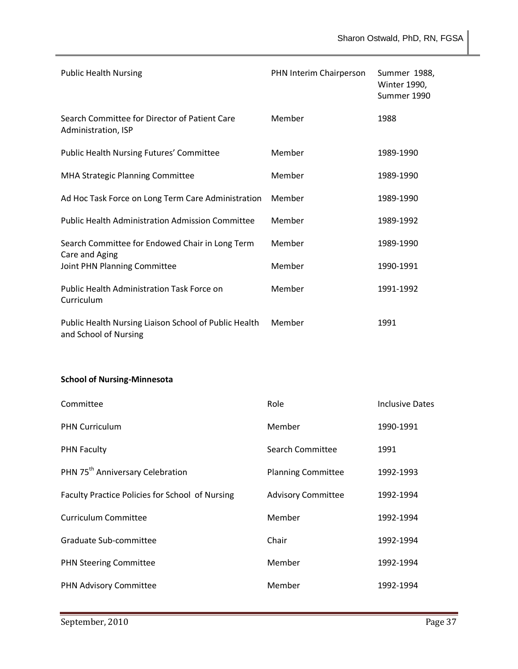| <b>Public Health Nursing</b>                                                   | PHN Interim Chairperson | Summer 1988,<br><b>Winter 1990,</b><br>Summer 1990 |
|--------------------------------------------------------------------------------|-------------------------|----------------------------------------------------|
| Search Committee for Director of Patient Care<br>Administration, ISP           | Member                  | 1988                                               |
| <b>Public Health Nursing Futures' Committee</b>                                | Member                  | 1989-1990                                          |
| <b>MHA Strategic Planning Committee</b>                                        | Member                  | 1989-1990                                          |
| Ad Hoc Task Force on Long Term Care Administration                             | Member                  | 1989-1990                                          |
| <b>Public Health Administration Admission Committee</b>                        | Member                  | 1989-1992                                          |
| Search Committee for Endowed Chair in Long Term                                | Member                  | 1989-1990                                          |
| Care and Aging<br>Joint PHN Planning Committee                                 | Member                  | 1990-1991                                          |
| <b>Public Health Administration Task Force on</b><br>Curriculum                | Member                  | 1991-1992                                          |
| Public Health Nursing Liaison School of Public Health<br>and School of Nursing | Member                  | 1991                                               |

# **School of Nursing-Minnesota**

| Committee                                       | Role                      | Inclusive Dates |
|-------------------------------------------------|---------------------------|-----------------|
| <b>PHN Curriculum</b>                           | Member                    | 1990-1991       |
| <b>PHN Faculty</b>                              | Search Committee          | 1991            |
| PHN 75 <sup>th</sup> Anniversary Celebration    | <b>Planning Committee</b> | 1992-1993       |
| Faculty Practice Policies for School of Nursing | <b>Advisory Committee</b> | 1992-1994       |
| <b>Curriculum Committee</b>                     | Member                    | 1992-1994       |
| Graduate Sub-committee                          | Chair                     | 1992-1994       |
| <b>PHN Steering Committee</b>                   | Member                    | 1992-1994       |
| PHN Advisory Committee                          | Member                    | 1992-1994       |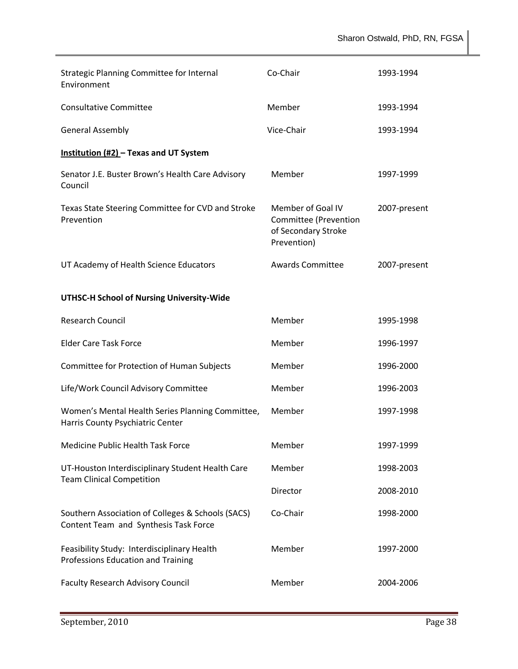| <b>Strategic Planning Committee for Internal</b><br>Environment                            | Co-Chair                                                                         | 1993-1994    |
|--------------------------------------------------------------------------------------------|----------------------------------------------------------------------------------|--------------|
| <b>Consultative Committee</b>                                                              | Member                                                                           | 1993-1994    |
| <b>General Assembly</b>                                                                    | Vice-Chair                                                                       | 1993-1994    |
| Institution (#2) - Texas and UT System                                                     |                                                                                  |              |
| Senator J.E. Buster Brown's Health Care Advisory<br>Council                                | Member                                                                           | 1997-1999    |
| Texas State Steering Committee for CVD and Stroke<br>Prevention                            | Member of Goal IV<br>Committee (Prevention<br>of Secondary Stroke<br>Prevention) | 2007-present |
| UT Academy of Health Science Educators                                                     | <b>Awards Committee</b>                                                          | 2007-present |
| UTHSC-H School of Nursing University-Wide                                                  |                                                                                  |              |
| <b>Research Council</b>                                                                    | Member                                                                           | 1995-1998    |
| <b>Elder Care Task Force</b>                                                               | Member                                                                           | 1996-1997    |
| Committee for Protection of Human Subjects                                                 | Member                                                                           | 1996-2000    |
| Life/Work Council Advisory Committee                                                       | Member                                                                           | 1996-2003    |
| Women's Mental Health Series Planning Committee,<br>Harris County Psychiatric Center       | Member                                                                           | 1997-1998    |
| Medicine Public Health Task Force                                                          | Member                                                                           | 1997-1999    |
| UT-Houston Interdisciplinary Student Health Care                                           | Member                                                                           | 1998-2003    |
| <b>Team Clinical Competition</b>                                                           | Director                                                                         | 2008-2010    |
| Southern Association of Colleges & Schools (SACS)<br>Content Team and Synthesis Task Force | Co-Chair                                                                         | 1998-2000    |
| Feasibility Study: Interdisciplinary Health<br>Professions Education and Training          | Member                                                                           | 1997-2000    |
| <b>Faculty Research Advisory Council</b>                                                   | Member                                                                           | 2004-2006    |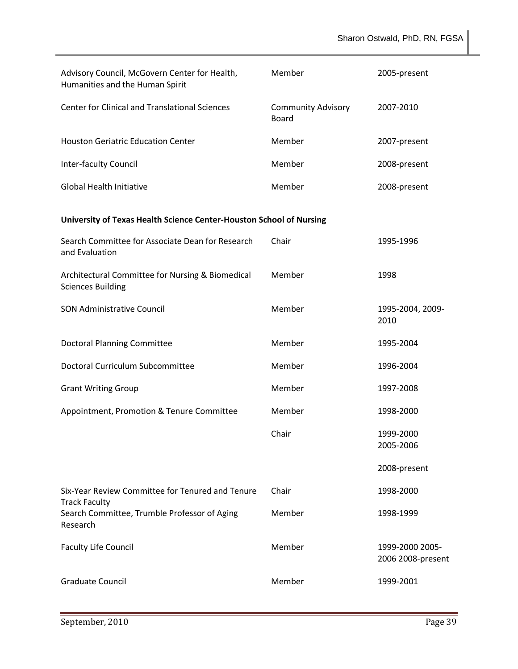| Advisory Council, McGovern Center for Health,<br>Humanities and the Human Spirit | Member                                    | 2005-present                         |
|----------------------------------------------------------------------------------|-------------------------------------------|--------------------------------------|
| <b>Center for Clinical and Translational Sciences</b>                            | <b>Community Advisory</b><br><b>Board</b> | 2007-2010                            |
| <b>Houston Geriatric Education Center</b>                                        | Member                                    | 2007-present                         |
| <b>Inter-faculty Council</b>                                                     | Member                                    | 2008-present                         |
| <b>Global Health Initiative</b>                                                  | Member                                    | 2008-present                         |
| University of Texas Health Science Center-Houston School of Nursing              |                                           |                                      |
| Search Committee for Associate Dean for Research<br>and Evaluation               | Chair                                     | 1995-1996                            |
| Architectural Committee for Nursing & Biomedical<br><b>Sciences Building</b>     | Member                                    | 1998                                 |
| <b>SON Administrative Council</b>                                                | Member                                    | 1995-2004, 2009-<br>2010             |
| <b>Doctoral Planning Committee</b>                                               | Member                                    | 1995-2004                            |
| Doctoral Curriculum Subcommittee                                                 | Member                                    | 1996-2004                            |
| <b>Grant Writing Group</b>                                                       | Member                                    | 1997-2008                            |
| Appointment, Promotion & Tenure Committee                                        | Member                                    | 1998-2000                            |
|                                                                                  | Chair                                     | 1999-2000<br>2005-2006               |
|                                                                                  |                                           | 2008-present                         |
| Six-Year Review Committee for Tenured and Tenure                                 | Chair                                     | 1998-2000                            |
| <b>Track Faculty</b><br>Search Committee, Trumble Professor of Aging<br>Research | Member                                    | 1998-1999                            |
| <b>Faculty Life Council</b>                                                      | Member                                    | 1999-2000 2005-<br>2006 2008-present |
| <b>Graduate Council</b>                                                          | Member                                    | 1999-2001                            |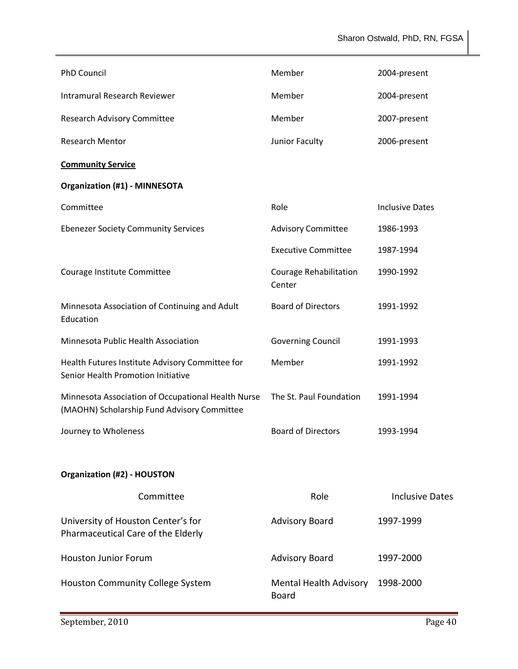| <b>PhD Council</b>                                                                                | Member                           | 2004-present           |
|---------------------------------------------------------------------------------------------------|----------------------------------|------------------------|
| <b>Intramural Research Reviewer</b>                                                               | Member                           | 2004-present           |
| <b>Research Advisory Committee</b>                                                                | Member                           | 2007-present           |
| <b>Research Mentor</b>                                                                            | Junior Faculty                   | 2006-present           |
| <b>Community Service</b>                                                                          |                                  |                        |
| <b>Organization (#1) - MINNESOTA</b>                                                              |                                  |                        |
| Committee                                                                                         | Role                             | <b>Inclusive Dates</b> |
| <b>Ebenezer Society Community Services</b>                                                        | <b>Advisory Committee</b>        | 1986-1993              |
|                                                                                                   | <b>Executive Committee</b>       | 1987-1994              |
| Courage Institute Committee                                                                       | Courage Rehabilitation<br>Center | 1990-1992              |
| Minnesota Association of Continuing and Adult<br>Education                                        | <b>Board of Directors</b>        | 1991-1992              |
| Minnesota Public Health Association                                                               | <b>Governing Council</b>         | 1991-1993              |
| Health Futures Institute Advisory Committee for<br>Senior Health Promotion Initiative             | Member                           | 1991-1992              |
| Minnesota Association of Occupational Health Nurse<br>(MAOHN) Scholarship Fund Advisory Committee | The St. Paul Foundation          | 1991-1994              |
| Journey to Wholeness                                                                              | <b>Board of Directors</b>        | 1993-1994              |
| <b>Organization (#2) - HOUSTON</b>                                                                |                                  |                        |
| Committee                                                                                         | Role                             | <b>Inclusive Dates</b> |
| University of Houston Center's for<br>Pharmaceutical Care of the Elderly                          | <b>Advisory Board</b>            | 1997-1999              |
| <b>Houston Junior Forum</b>                                                                       | <b>Advisory Board</b>            | 1997-2000              |
| Houston Community College System                                                                  | Mental Health Advisory<br>Board  | 1998-2000              |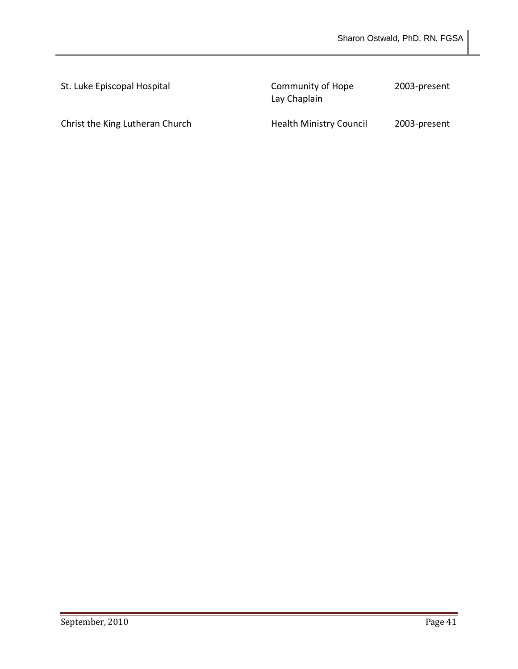| St. Luke Episcopal Hospital     | Community of Hope<br>Lay Chaplain | 2003-present |
|---------------------------------|-----------------------------------|--------------|
| Christ the King Lutheran Church | <b>Health Ministry Council</b>    | 2003-present |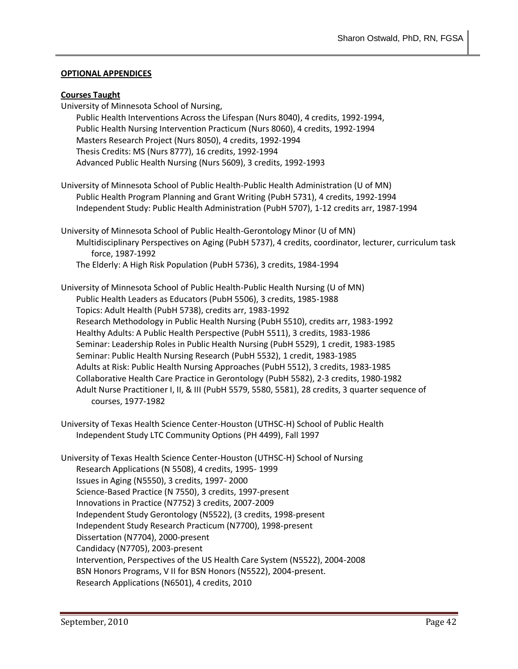#### **OPTIONAL APPENDICES**

# **Courses Taught**

| <u> 2000 - 2000 - 2000 - 2000 - 2000 - 2000 - 2000 - 2000 - 2000 - 2000 - 2000 - 2000 - 2000 - 2000 - 2000 - 200</u><br>University of Minnesota School of Nursing, |
|--------------------------------------------------------------------------------------------------------------------------------------------------------------------|
| Public Health Interventions Across the Lifespan (Nurs 8040), 4 credits, 1992-1994,                                                                                 |
| Public Health Nursing Intervention Practicum (Nurs 8060), 4 credits, 1992-1994                                                                                     |
|                                                                                                                                                                    |
| Masters Research Project (Nurs 8050), 4 credits, 1992-1994                                                                                                         |
| Thesis Credits: MS (Nurs 8777), 16 credits, 1992-1994                                                                                                              |
| Advanced Public Health Nursing (Nurs 5609), 3 credits, 1992-1993                                                                                                   |
| University of Minnesota School of Public Health-Public Health Administration (U of MN)                                                                             |
| Public Health Program Planning and Grant Writing (PubH 5731), 4 credits, 1992-1994                                                                                 |
| Independent Study: Public Health Administration (PubH 5707), 1-12 credits arr, 1987-1994                                                                           |
| University of Minnesota School of Public Health-Gerontology Minor (U of MN)                                                                                        |
| Multidisciplinary Perspectives on Aging (PubH 5737), 4 credits, coordinator, lecturer, curriculum task                                                             |
| force, 1987-1992                                                                                                                                                   |
| The Elderly: A High Risk Population (PubH 5736), 3 credits, 1984-1994                                                                                              |
|                                                                                                                                                                    |
| University of Minnesota School of Public Health-Public Health Nursing (U of MN)                                                                                    |
| Public Health Leaders as Educators (PubH 5506), 3 credits, 1985-1988                                                                                               |
| Topics: Adult Health (PubH 5738), credits arr, 1983-1992                                                                                                           |
| Research Methodology in Public Health Nursing (PubH 5510), credits arr, 1983-1992                                                                                  |
| Healthy Adults: A Public Health Perspective (PubH 5511), 3 credits, 1983-1986                                                                                      |
| Seminar: Leadership Roles in Public Health Nursing (PubH 5529), 1 credit, 1983-1985                                                                                |
| Seminar: Public Health Nursing Research (PubH 5532), 1 credit, 1983-1985                                                                                           |
| Adults at Risk: Public Health Nursing Approaches (PubH 5512), 3 credits, 1983-1985                                                                                 |
| Collaborative Health Care Practice in Gerontology (PubH 5582), 2-3 credits, 1980-1982                                                                              |
| Adult Nurse Practitioner I, II, & III (PubH 5579, 5580, 5581), 28 credits, 3 quarter sequence of                                                                   |
| courses, 1977-1982                                                                                                                                                 |
|                                                                                                                                                                    |
| University of Texas Health Science Center-Houston (UTHSC-H) School of Public Health                                                                                |
| Independent Study LTC Community Options (PH 4499), Fall 1997                                                                                                       |
| University of Texas Health Science Center-Houston (UTHSC-H) School of Nursing                                                                                      |
| Research Applications (N 5508), 4 credits, 1995-1999                                                                                                               |
| Issues in Aging (N5550), 3 credits, 1997-2000                                                                                                                      |
| Science-Based Practice (N 7550), 3 credits, 1997-present                                                                                                           |
| Innovations in Practice (N7752) 3 credits, 2007-2009                                                                                                               |
| Independent Study Gerontology (N5522), (3 credits, 1998-present                                                                                                    |
| Independent Study Research Practicum (N7700), 1998-present                                                                                                         |
| Dissertation (N7704), 2000-present                                                                                                                                 |
| Candidacy (N7705), 2003-present                                                                                                                                    |
| Intervention, Perspectives of the US Health Care System (N5522), 2004-2008                                                                                         |
| BSN Honors Programs, V II for BSN Honors (N5522), 2004-present.                                                                                                    |
| Research Applications (N6501), 4 credits, 2010                                                                                                                     |
|                                                                                                                                                                    |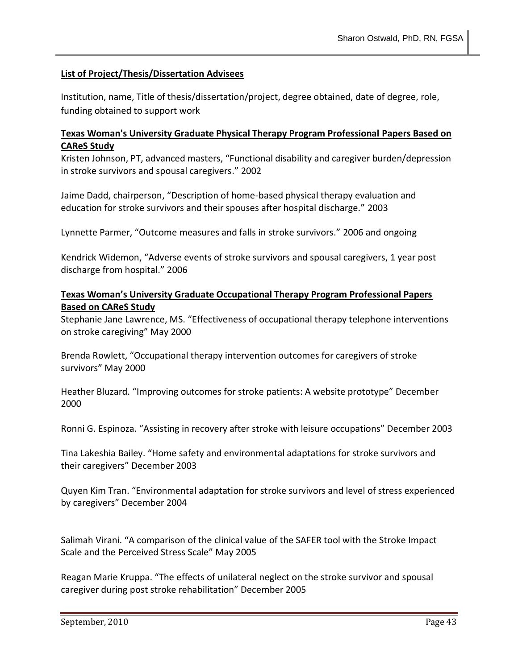# **List of Project/Thesis/Dissertation Advisees**

Institution, name, Title of thesis/dissertation/project, degree obtained, date of degree, role, funding obtained to support work

# **Texas Woman's University Graduate Physical Therapy Program Professional Papers Based on CAReS Study**

Kristen Johnson, PT, advanced masters, "Functional disability and caregiver burden/depression in stroke survivors and spousal caregivers." 2002

Jaime Dadd, chairperson, "Description of home-based physical therapy evaluation and education for stroke survivors and their spouses after hospital discharge." 2003

Lynnette Parmer, "Outcome measures and falls in stroke survivors." 2006 and ongoing

Kendrick Widemon, "Adverse events of stroke survivors and spousal caregivers, 1 year post discharge from hospital." 2006

# **Texas Woman's University Graduate Occupational Therapy Program Professional Papers Based on CAReS Study**

Stephanie Jane Lawrence, MS. "Effectiveness of occupational therapy telephone interventions on stroke caregiving" May 2000

Brenda Rowlett, "Occupational therapy intervention outcomes for caregivers of stroke survivors" May 2000

Heather Bluzard. "Improving outcomes for stroke patients: A website prototype" December 2000

Ronni G. Espinoza. "Assisting in recovery after stroke with leisure occupations" December 2003

Tina Lakeshia Bailey. "Home safety and environmental adaptations for stroke survivors and their caregivers" December 2003

Quyen Kim Tran. "Environmental adaptation for stroke survivors and level of stress experienced by caregivers" December 2004

Salimah Virani. "A comparison of the clinical value of the SAFER tool with the Stroke Impact Scale and the Perceived Stress Scale" May 2005

Reagan Marie Kruppa. "The effects of unilateral neglect on the stroke survivor and spousal caregiver during post stroke rehabilitation" December 2005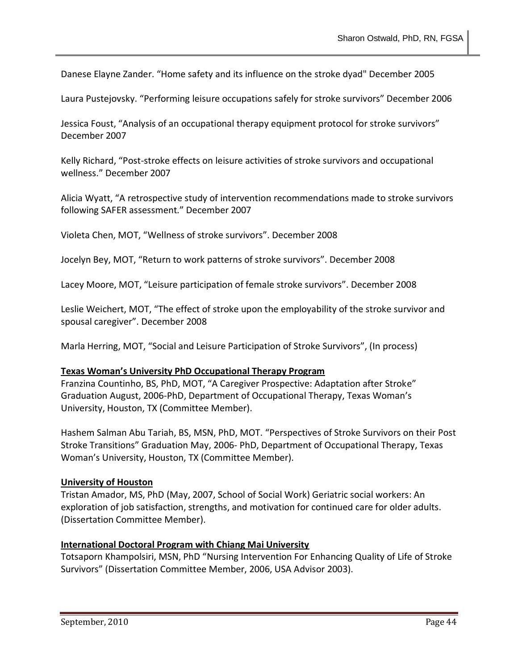Danese Elayne Zander. "Home safety and its influence on the stroke dyad" December 2005

Laura Pustejovsky. "Performing leisure occupations safely for stroke survivors" December 2006

Jessica Foust, "Analysis of an occupational therapy equipment protocol for stroke survivors" December 2007

Kelly Richard, "Post-stroke effects on leisure activities of stroke survivors and occupational wellness." December 2007

Alicia Wyatt, "A retrospective study of intervention recommendations made to stroke survivors following SAFER assessment." December 2007

Violeta Chen, MOT, "Wellness of stroke survivors". December 2008

Jocelyn Bey, MOT, "Return to work patterns of stroke survivors". December 2008

Lacey Moore, MOT, "Leisure participation of female stroke survivors". December 2008

Leslie Weichert, MOT, "The effect of stroke upon the employability of the stroke survivor and spousal caregiver". December 2008

Marla Herring, MOT, "Social and Leisure Participation of Stroke Survivors", (In process)

#### **Texas Woman's University PhD Occupational Therapy Program**

Franzina Countinho, BS, PhD, MOT, "A Caregiver Prospective: Adaptation after Stroke" Graduation August, 2006-PhD, Department of Occupational Therapy, Texas Woman's University, Houston, TX (Committee Member).

Hashem Salman Abu Tariah, BS, MSN, PhD, MOT. "Perspectives of Stroke Survivors on their Post Stroke Transitions" Graduation May, 2006- PhD, Department of Occupational Therapy, Texas Woman's University, Houston, TX (Committee Member).

#### **University of Houston**

Tristan Amador, MS, PhD (May, 2007, School of Social Work) Geriatric social workers: An exploration of job satisfaction, strengths, and motivation for continued care for older adults. (Dissertation Committee Member).

#### **International Doctoral Program with Chiang Mai University**

Totsaporn Khampolsiri, MSN, PhD "Nursing Intervention For Enhancing Quality of Life of Stroke Survivors" (Dissertation Committee Member, 2006, USA Advisor 2003).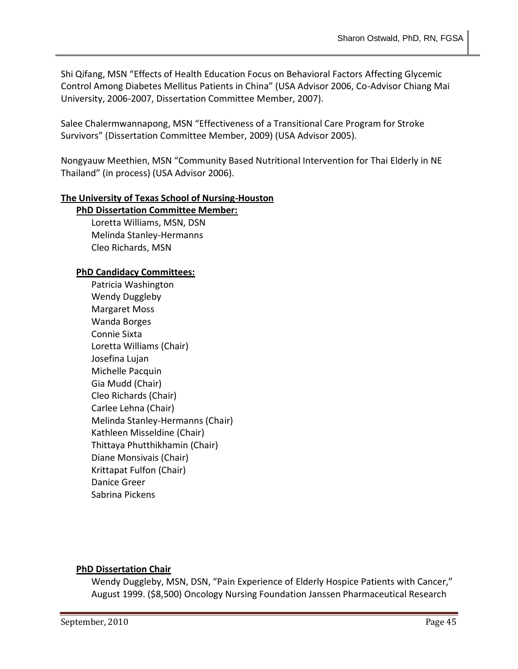Shi Qifang, MSN "Effects of Health Education Focus on Behavioral Factors Affecting Glycemic Control Among Diabetes Mellitus Patients in China" (USA Advisor 2006, Co-Advisor Chiang Mai University, 2006-2007, Dissertation Committee Member, 2007).

Salee Chalermwannapong, MSN "Effectiveness of a Transitional Care Program for Stroke Survivors" (Dissertation Committee Member, 2009) (USA Advisor 2005).

Nongyauw Meethien, MSN "Community Based Nutritional Intervention for Thai Elderly in NE Thailand" (in process) (USA Advisor 2006).

## **The University of Texas School of Nursing-Houston**

#### **PhD Dissertation Committee Member:**

Loretta Williams, MSN, DSN Melinda Stanley-Hermanns Cleo Richards, MSN

#### **PhD Candidacy Committees:**

Patricia Washington Wendy Duggleby Margaret Moss Wanda Borges Connie Sixta Loretta Williams (Chair) Josefina Lujan Michelle Pacquin Gia Mudd (Chair) Cleo Richards (Chair) Carlee Lehna (Chair) Melinda Stanley-Hermanns (Chair) Kathleen Misseldine (Chair) Thittaya Phutthikhamin (Chair) Diane Monsivais (Chair) Krittapat Fulfon (Chair) Danice Greer Sabrina Pickens

#### **PhD Dissertation Chair**

Wendy Duggleby, MSN, DSN, "Pain Experience of Elderly Hospice Patients with Cancer," August 1999. (\$8,500) Oncology Nursing Foundation Janssen Pharmaceutical Research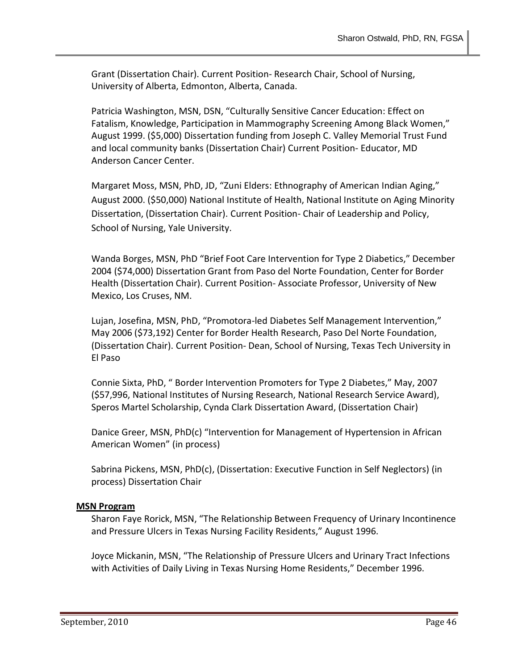Grant (Dissertation Chair). Current Position- Research Chair, School of Nursing, University of Alberta, Edmonton, Alberta, Canada.

Patricia Washington, MSN, DSN, "Culturally Sensitive Cancer Education: Effect on Fatalism, Knowledge, Participation in Mammography Screening Among Black Women," August 1999. (\$5,000) Dissertation funding from Joseph C. Valley Memorial Trust Fund and local community banks (Dissertation Chair) Current Position- Educator, MD Anderson Cancer Center.

Margaret Moss, MSN, PhD, JD, "Zuni Elders: Ethnography of American Indian Aging," August 2000. (\$50,000) National Institute of Health, National Institute on Aging Minority Dissertation, (Dissertation Chair). Current Position- Chair of Leadership and Policy, School of Nursing, Yale University.

Wanda Borges, MSN, PhD "Brief Foot Care Intervention for Type 2 Diabetics," December 2004 (\$74,000) Dissertation Grant from Paso del Norte Foundation, Center for Border Health (Dissertation Chair). Current Position- Associate Professor, University of New Mexico, Los Cruses, NM.

Lujan, Josefina, MSN, PhD, "Promotora-led Diabetes Self Management Intervention," May 2006 (\$73,192) Center for Border Health Research, Paso Del Norte Foundation, (Dissertation Chair). Current Position- Dean, School of Nursing, Texas Tech University in El Paso

Connie Sixta, PhD, " Border Intervention Promoters for Type 2 Diabetes," May, 2007 (\$57,996, National Institutes of Nursing Research, National Research Service Award), Speros Martel Scholarship, Cynda Clark Dissertation Award, (Dissertation Chair)

Danice Greer, MSN, PhD(c) "Intervention for Management of Hypertension in African American Women" (in process)

Sabrina Pickens, MSN, PhD(c), (Dissertation: Executive Function in Self Neglectors) (in process) Dissertation Chair

## **MSN Program**

Sharon Faye Rorick, MSN, "The Relationship Between Frequency of Urinary Incontinence and Pressure Ulcers in Texas Nursing Facility Residents," August 1996.

Joyce Mickanin, MSN, "The Relationship of Pressure Ulcers and Urinary Tract Infections with Activities of Daily Living in Texas Nursing Home Residents," December 1996.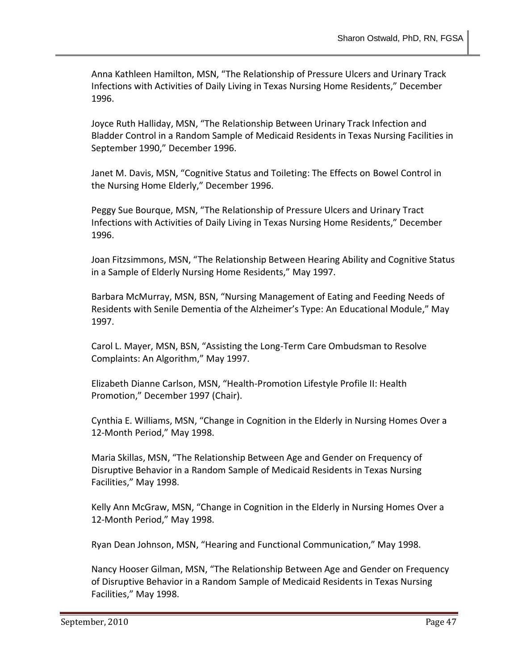Anna Kathleen Hamilton, MSN, "The Relationship of Pressure Ulcers and Urinary Track Infections with Activities of Daily Living in Texas Nursing Home Residents," December 1996.

Joyce Ruth Halliday, MSN, "The Relationship Between Urinary Track Infection and Bladder Control in a Random Sample of Medicaid Residents in Texas Nursing Facilities in September 1990," December 1996.

Janet M. Davis, MSN, "Cognitive Status and Toileting: The Effects on Bowel Control in the Nursing Home Elderly," December 1996.

Peggy Sue Bourque, MSN, "The Relationship of Pressure Ulcers and Urinary Tract Infections with Activities of Daily Living in Texas Nursing Home Residents," December 1996.

Joan Fitzsimmons, MSN, "The Relationship Between Hearing Ability and Cognitive Status in a Sample of Elderly Nursing Home Residents," May 1997.

Barbara McMurray, MSN, BSN, "Nursing Management of Eating and Feeding Needs of Residents with Senile Dementia of the Alzheimer's Type: An Educational Module," May 1997.

Carol L. Mayer, MSN, BSN, "Assisting the Long-Term Care Ombudsman to Resolve Complaints: An Algorithm," May 1997.

Elizabeth Dianne Carlson, MSN, "Health-Promotion Lifestyle Profile II: Health Promotion," December 1997 (Chair).

Cynthia E. Williams, MSN, "Change in Cognition in the Elderly in Nursing Homes Over a 12-Month Period," May 1998.

Maria Skillas, MSN, "The Relationship Between Age and Gender on Frequency of Disruptive Behavior in a Random Sample of Medicaid Residents in Texas Nursing Facilities," May 1998.

Kelly Ann McGraw, MSN, "Change in Cognition in the Elderly in Nursing Homes Over a 12-Month Period," May 1998.

Ryan Dean Johnson, MSN, "Hearing and Functional Communication," May 1998.

Nancy Hooser Gilman, MSN, "The Relationship Between Age and Gender on Frequency of Disruptive Behavior in a Random Sample of Medicaid Residents in Texas Nursing Facilities," May 1998.